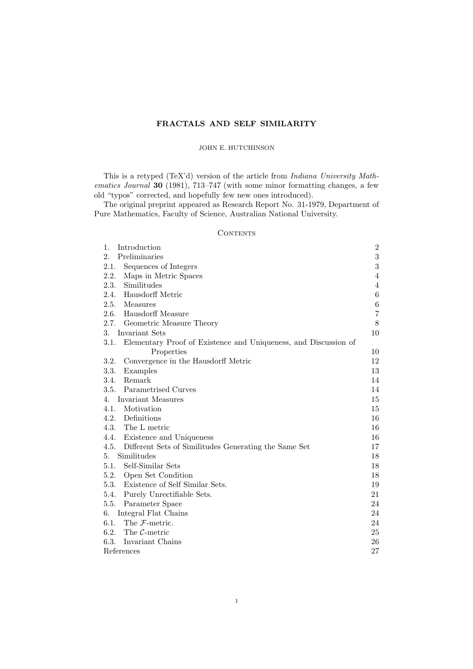# FRACTALS AND SELF SIMILARITY

## JOHN E. HUTCHINSON

This is a retyped (TeX'd) version of the article from Indiana University Mathematics Journal 30 (1981), 713–747 (with some minor formatting changes, a few old "typos" corrected, and hopefully few new ones introduced).

The original preprint appeared as Research Report No. 31-1979, Department of Pure Mathematics, Faculty of Science, Australian National University.

# **CONTENTS**

| 1.<br>Introduction                                                      | $\sqrt{2}$     |
|-------------------------------------------------------------------------|----------------|
| 2.<br>Preliminaries                                                     | $\overline{3}$ |
| Sequences of Integers<br>2.1.                                           | $\overline{3}$ |
| 2.2.<br>Maps in Metric Spaces                                           | $\overline{4}$ |
| 2.3.<br>Similitudes                                                     | $\overline{4}$ |
| Hausdorff Metric<br>2.4.                                                | $\,6$          |
| 2.5.<br>Measures                                                        | $\,6$          |
| Hausdorff Measure<br>2.6.                                               | $\overline{7}$ |
| 2.7.<br>Geometric Measure Theory                                        | 8              |
| 3.<br>Invariant Sets                                                    | 10             |
| 3.1.<br>Elementary Proof of Existence and Uniqueness, and Discussion of |                |
| Properties                                                              | 10             |
| 3.2.<br>Convergence in the Hausdorff Metric                             | 12             |
| 3.3.<br>Examples                                                        | 13             |
| Remark<br>3.4.                                                          | 14             |
| 3.5.<br>Parametrised Curves                                             | 14             |
| Invariant Measures<br>4.                                                | 15             |
| Motivation<br>4.1.                                                      | 15             |
| 4.2. Definitions                                                        | 16             |
| 4.3.<br>The L metric                                                    | 16             |
| 4.4.<br>Existence and Uniqueness                                        | 16             |
| 4.5.<br>Different Sets of Similitudes Generating the Same Set           | 17             |
| Similitudes<br>5.                                                       | 18             |
| Self-Similar Sets<br>5.1.                                               | 18             |
| Open Set Condition<br>5.2.                                              | 18             |
| 5.3.<br>Existence of Self Similar Sets.                                 | 19             |
| 5.4.<br>Purely Unrectifiable Sets.                                      | 21             |
| 5.5.<br>Parameter Space                                                 | 24             |
| Integral Flat Chains<br>6.                                              | 24             |
| 6.1.<br>The $\mathcal{F}\text{-metric}$ .                               | $24\,$         |
| 6.2.<br>The $C$ -metric                                                 | 25             |
| 6.3.<br>Invariant Chains                                                | 26             |
| References                                                              | 27             |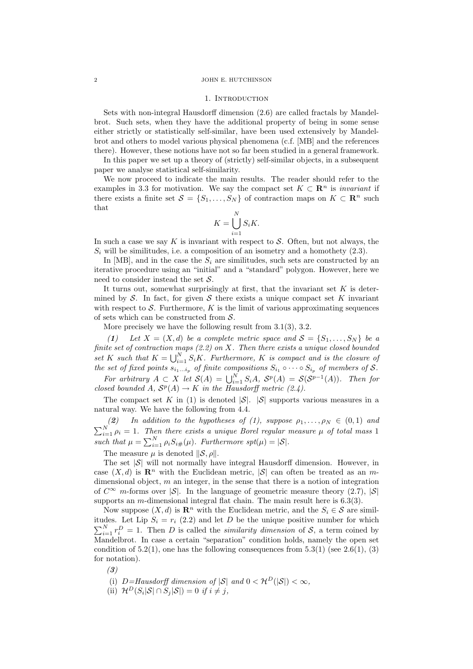#### 2 JOHN E. HUTCHINSON

### 1. INTRODUCTION

Sets with non-integral Hausdorff dimension (2.6) are called fractals by Mandelbrot. Such sets, when they have the additional property of being in some sense either strictly or statistically self-similar, have been used extensively by Mandelbrot and others to model various physical phenomena (c.f. [MB] and the references there). However, these notions have not so far been studied in a general framework.

In this paper we set up a theory of (strictly) self-similar objects, in a subsequent paper we analyse statistical self-similarity.

We now proceed to indicate the main results. The reader should refer to the examples in 3.3 for motivation. We say the compact set  $K \subset \mathbb{R}^n$  is *invariant* if there exists a finite set  $S = \{S_1, \ldots, S_N\}$  of contraction maps on  $K \subset \mathbb{R}^n$  such that  $\mathbf{v}$ 

$$
K = \bigcup_{i=1}^{N} S_i K.
$$

In such a case we say  $K$  is invariant with respect to  $S$ . Often, but not always, the  $S_i$  will be similitudes, i.e. a composition of an isometry and a homothety  $(2.3)$ .

In [MB], and in the case the  $S_i$  are similitudes, such sets are constructed by an iterative procedure using an "initial" and a "standard" polygon. However, here we need to consider instead the set  $S$ .

It turns out, somewhat surprisingly at first, that the invariant set  $K$  is determined by  $S$ . In fact, for given S there exists a unique compact set K invariant with respect to  $\mathcal S$ . Furthermore, K is the limit of various approximating sequences of sets which can be constructed from  $S$ .

More precisely we have the following result from  $3.1(3)$ ,  $3.2$ .

(1) Let  $X = (X, d)$  be a complete metric space and  $S = \{S_1, \ldots, S_N\}$  be a finite set of contraction maps  $(2.2)$  on X. Then there exists a unique closed bounded set K such that  $K = \bigcup_{i=1}^{N} S_i K$ . Furthermore, K is compact and is the closure of the set of fixed points  $s_{i_1...i_p}$  of finite compositions  $S_{i_1} \circ \cdots \circ S_{i_p}$  of members of S.

For arbitrary  $A \subset X$  let  $\mathcal{S}(A) = \bigcup_{i=1}^N S_i A$ ,  $\mathcal{S}^p(A) = \mathcal{S}(\mathcal{S}^{p-1}(A))$ . Then for closed bounded A,  $S^p(A) \to K$  in the Hausdorff metric (2.4).

The compact set K in (1) is denoted  $|\mathcal{S}|$ .  $|\mathcal{S}|$  supports various measures in a natural way. We have the following from 4.4.

(2) In addition to the hypotheses of (1), suppose  $\rho_1, \ldots, \rho_N \in (0,1)$  and  $\sum_{i=1}^{N} \rho_i = 1$ . Then there exists a unique Borel regular measure  $\mu$  of total mass 1 such that  $\mu = \sum_{i=1}^{N} \rho_i S_{i\#}(\mu)$ . Furthermore spt $(\mu) = |\mathcal{S}|$ .

The measure  $\mu$  is denoted  $\|\mathcal{S}, \rho\|$ .

The set  $|S|$  will not normally have integral Hausdorff dimension. However, in case  $(X, d)$  is  $\mathbb{R}^n$  with the Euclidean metric,  $|\mathcal{S}|$  can often be treated as an mdimensional object,  $m$  an integer, in the sense that there is a notion of integration of  $C^{\infty}$  m-forms over  $|\mathcal{S}|$ . In the language of geometric measure theory (2.7),  $|\mathcal{S}|$ supports an m-dimensional integral flat chain. The main result here is 6.3(3).

Now suppose  $(X, d)$  is  $\mathbb{R}^n$  with the Euclidean metric, and the  $S_i \in \mathcal{S}$  are similitudes. Let Lip  $S_i = r_i$  (2.2) and let D be the unique positive number for which  $\sum_{i=1}^{N} r_i^D = 1$ . Then D is called the *similarity dimension* of S, a term coined by Mandelbrot. In case a certain "separation" condition holds, namely the open set condition of  $5.2(1)$ , one has the following consequences from  $5.3(1)$  (see  $2.6(1)$ ,  $(3)$ ) for notation).

(3)

- (i)  $D=Hausdorff$  dimension of  $|\mathcal{S}|$  and  $0 < \mathcal{H}^D(|\mathcal{S}|) < \infty$ ,
- (ii)  $\mathcal{H}^D(S_i|\mathcal{S}| \cap S_j|\mathcal{S}|) = 0$  if  $i \neq j$ ,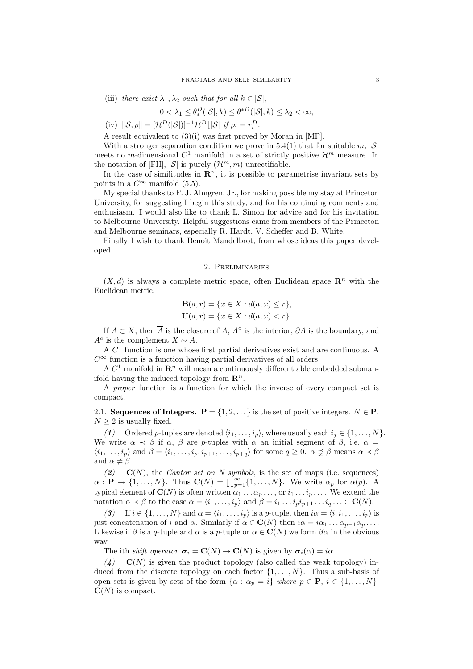(iii) there exist  $\lambda_1, \lambda_2$  such that for all  $k \in |\mathcal{S}|$ ,

$$
0 < \lambda_1 \le \theta_*^D(|\mathcal{S}|, k) \le \theta^{*D}(|\mathcal{S}|, k) \le \lambda_2 < \infty,
$$

(iv)  $\|\mathcal{S}, \rho\| = [\mathcal{H}^D(|\mathcal{S}|)]^{-1} \mathcal{H}^D \lfloor |\mathcal{S}| \text{ if } \rho_i = r_i^D.$ 

A result equivalent to (3)(i) was first proved by Moran in [MP].

With a stronger separation condition we prove in 5.4(1) that for suitable m,  $|S|$ meets no m-dimensional  $C^1$  manifold in a set of strictly positive  $\mathcal{H}^m$  measure. In the notation of [FH],  $|\mathcal{S}|$  is purely  $(\mathcal{H}^m, m)$  unrectifiable.

In the case of similitudes in  $\mathbb{R}^n$ , it is possible to parametrise invariant sets by points in a  $C^{\infty}$  manifold (5.5).

My special thanks to F. J. Almgren, Jr., for making possible my stay at Princeton University, for suggesting I begin this study, and for his continuing comments and enthusiasm. I would also like to thank L. Simon for advice and for his invitation to Melbourne University. Helpful suggestions came from members of the Princeton and Melbourne seminars, especially R. Hardt, V. Scheffer and B. White.

Finally I wish to thank Benoit Mandelbrot, from whose ideas this paper developed.

#### 2. Preliminaries

 $(X, d)$  is always a complete metric space, often Euclidean space  $\mathbb{R}^n$  with the Euclidean metric.

$$
\mathbf{B}(a,r) = \{x \in X : d(a,x) \le r\},\
$$
  

$$
\mathbf{U}(a,r) = \{x \in X : d(a,x) < r\}.
$$

If  $A \subset X$ , then  $\overline{A}$  is the closure of  $A$ ,  $A^{\circ}$  is the interior,  $\partial A$  is the boundary, and  $A^c$  is the complement  $X \sim A$ .

A C 1 function is one whose first partial derivatives exist and are continuous. A  $C^{\infty}$  function is a function having partial derivatives of all orders.

A  $C^1$  manifold in  $\mathbf{R}^n$  will mean a continuously differentiable embedded submanifold having the induced topology from  $\mathbb{R}^n$ .

A proper function is a function for which the inverse of every compact set is compact.

2.1. Sequences of Integers.  $P = \{1, 2, ...\}$  is the set of positive integers.  $N \in \mathbf{P}$ ,  $N \geq 2$  is usually fixed.

(1) Ordered p-tuples are denoted  $\langle i_1, \ldots, i_p \rangle$ , where usually each  $i_j \in \{1, \ldots, N\}$ . We write  $\alpha \prec \beta$  if  $\alpha$ ,  $\beta$  are p-tuples with  $\alpha$  an initial segment of  $\beta$ , i.e.  $\alpha =$  $\langle i_1, \ldots, i_p \rangle$  and  $\beta = \langle i_1, \ldots, i_p, i_{p+1}, \ldots, i_{p+q} \rangle$  for some  $q \ge 0$ .  $\alpha \preceq \beta$  means  $\alpha \prec \beta$ and  $\alpha \neq \beta$ .

 $(2)$   $\mathbf{C}(N)$ , the *Cantor set on N symbols*, is the set of maps (i.e. sequences)  $\alpha : \mathbf{P} \to \{1, \ldots, N\}.$  Thus  $\mathbf{C}(N) = \prod_{p=1}^{\infty} \{1, \ldots, N\}.$  We write  $\alpha_p$  for  $\alpha(p).$  A typical element of  $\mathbf{C}(N)$  is often written  $\alpha_1 \dots \alpha_p \dots$ , or  $i_1 \dots i_p \dots$ . We extend the notation  $\alpha \prec \beta$  to the case  $\alpha = \langle i_1, \ldots, i_p \rangle$  and  $\beta = i_1 \ldots i_p i_{p+1} \ldots i_q \ldots \in \mathbf{C}(N)$ .

(3) If  $i \in \{1, ..., N\}$  and  $\alpha = \langle i_1, ..., i_p \rangle$  is a p-tuple, then  $i\alpha = \langle i, i_1, ..., i_p \rangle$  is just concatenation of i and  $\alpha$ . Similarly if  $\alpha \in \mathbf{C}(N)$  then  $i\alpha = i\alpha_1 \dots \alpha_{p-1}\alpha_p \dots$ Likewise if  $\beta$  is a q-tuple and  $\alpha$  is a p-tuple or  $\alpha \in \mathbf{C}(N)$  we form  $\beta \alpha$  in the obvious way.

The ith shift operator  $\sigma_i = \mathbf{C}(N) \to \mathbf{C}(N)$  is given by  $\sigma_i(\alpha) = i\alpha$ .

(4)  $\mathbf{C}(N)$  is given the product topology (also called the weak topology) induced from the discrete topology on each factor  $\{1, \ldots, N\}$ . Thus a sub-basis of open sets is given by sets of the form  $\{\alpha : \alpha_p = i\}$  where  $p \in \mathbf{P}, i \in \{1, ..., N\}$ .  $\mathbf{C}(N)$  is compact.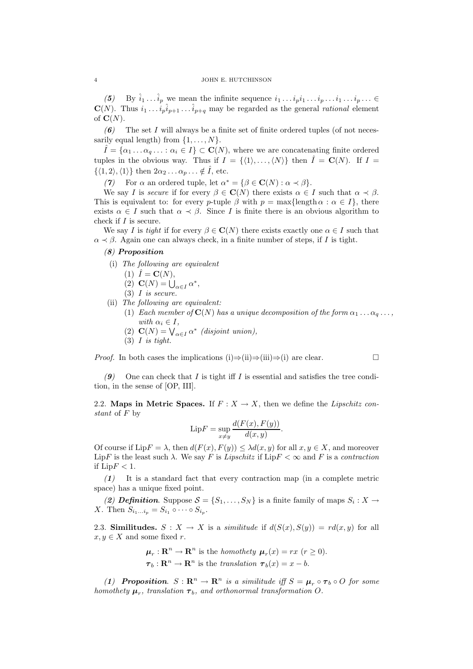(5) By  $\hat{i}_1 \dots \hat{i}_p$  we mean the infinite sequence  $i_1 \dots i_p i_1 \dots i_p \dots i_1 \dots i_p \dots \in$  $\mathbf{C}(N)$ . Thus  $i_1 \ldots i_p \hat{i}_{p+1} \ldots \hat{i}_{p+q}$  may be regarded as the general *rational* element of  $\mathbf{C}(N)$ .

 $(6)$  The set I will always be a finite set of finite ordered tuples (of not necessarily equal length) from  $\{1, \ldots, N\}$ .

 $\hat{I} = {\alpha_1 \dots \alpha_q \dots : \alpha_i \in I} \subset \mathbf{C}(N)$ , where we are concatenating finite ordered tuples in the obvious way. Thus if  $I = \{ \langle 1 \rangle, \ldots, \langle N \rangle \}$  then  $\hat{I} = \mathbf{C}(N)$ . If  $I =$  $\{\langle 1, 2 \rangle, \langle 1 \rangle\}$  then  $2\alpha_2 \dots \alpha_p \dots \notin \hat{I}$ , etc.

(7) For  $\alpha$  an ordered tuple, let  $\alpha^* = {\beta \in \mathbf{C}(N) : \alpha \prec \beta}.$ 

We say I is secure if for every  $\beta \in \mathbf{C}(N)$  there exists  $\alpha \in I$  such that  $\alpha \prec \beta$ . This is equivalent to: for every p-tuple  $\beta$  with  $p = \max{\{\text{length }\alpha : \alpha \in I\}}$ , there exists  $\alpha \in I$  such that  $\alpha \prec \beta$ . Since I is finite there is an obvious algorithm to check if I is secure.

We say I is tight if for every  $\beta \in \mathbf{C}(N)$  there exists exactly one  $\alpha \in I$  such that  $\alpha \prec \beta$ . Again one can always check, in a finite number of steps, if I is tight.

## (8) Proposition

(i) The following are equivalent

$$
(1) \hat{I} = \mathbf{C}(N),
$$

- (2)  $\mathbf{C}(N) = \bigcup_{\alpha \in I} \alpha^*,$
- $(3)$  *I* is secure.

(ii) The following are equivalent:

- (1) Each member of  $\mathbf{C}(N)$  has a unique decomposition of the form  $\alpha_1 \dots \alpha_q \dots$ , with  $\alpha_i \in I$ ,
- (2)  $\mathbf{C}(N) = \bigvee_{\alpha \in I} \alpha^*$  (disjoint union),
- $(3)$  *I* is tight.

*Proof.* In both cases the implications (i) $\Rightarrow$ (ii) $\Rightarrow$ (ii) $\Rightarrow$ (i) are clear.

(9) One can check that I is tight iff I is essential and satisfies the tree condition, in the sense of [OP, III].

2.2. Maps in Metric Spaces. If  $F : X \to X$ , then we define the Lipschitz constant of F by

$$
\text{Lip}F = \sup_{x \neq y} \frac{d(F(x), F(y))}{d(x, y)}.
$$

Of course if  $\text{Lip}F = \lambda$ , then  $d(F(x), F(y)) \leq \lambda d(x, y)$  for all  $x, y \in X$ , and moreover LipF is the least such  $\lambda$ . We say F is Lipschitz if LipF  $<\infty$  and F is a contraction if  $\text{Lip}F < 1$ .

 $(1)$  It is a standard fact that every contraction map (in a complete metric space) has a unique fixed point.

(2) **Definition**. Suppose  $S = \{S_1, \ldots, S_N\}$  is a finite family of maps  $S_i : X \to Y$ X. Then  $S_{i_1...i_p} = S_{i_1} \circ \cdots \circ S_{i_p}$ .

2.3. Similitudes.  $S: X \to X$  is a *similitude* if  $d(S(x), S(y)) = rd(x, y)$  for all  $x, y \in X$  and some fixed r.

> $\boldsymbol{\mu}_r : \mathbf{R}^n \to \mathbf{R}^n$  is the *homothety*  $\boldsymbol{\mu}_r(x) = rx$  ( $r \ge 0$ ).  $\boldsymbol{\tau}_b : \mathbf{R}^n \to \mathbf{R}^n$  is the translation  $\boldsymbol{\tau}_b(x) = x - b$ .

(1) Proposition.  $S : \mathbb{R}^n \to \mathbb{R}^n$  is a similitude iff  $S = \mu_r \circ \tau_b \circ O$  for some homothety  $\boldsymbol{\mu}_r$ , translation  $\boldsymbol{\tau}_b$ , and orthonormal transformation O.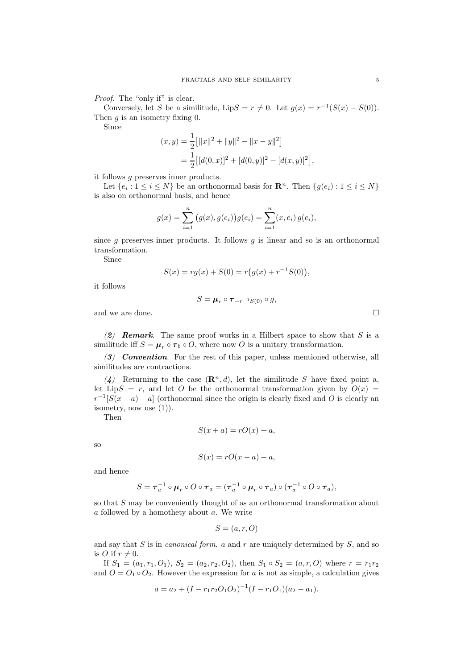Proof. The "only if" is clear.

Conversely, let S be a similitude, Lip $S = r \neq 0$ . Let  $g(x) = r^{-1}(S(x) - S(0))$ . Then  $q$  is an isometry fixing 0.

Since

$$
(x,y) = \frac{1}{2} [||x||^2 + ||y||^2 - ||x - y||^2]
$$
  
= 
$$
\frac{1}{2} [[d(0,x)]^2 + [d(0,y)]^2 - [d(x,y)]^2],
$$

it follows g preserves inner products.

Let  $\{e_i: 1 \leq i \leq N\}$  be an orthonormal basis for  $\mathbb{R}^n$ . Then  $\{g(e_i): 1 \leq i \leq N\}$ is also on orthonormal basis, and hence

$$
g(x) = \sum_{i=1}^{n} (g(x), g(e_i))g(e_i) = \sum_{i=1}^{n} (x, e_i) g(e_i),
$$

since  $g$  preserves inner products. It follows  $g$  is linear and so is an orthonormal transformation.

Since

$$
S(x) = rg(x) + S(0) = r(g(x) + r^{-1}S(0)),
$$

it follows

$$
S = \boldsymbol{\mu}_r \circ \boldsymbol{\tau}_{-r^{-1}S(0)} \circ g,
$$

and we are done.  $\Box$ 

(2) **Remark**. The same proof works in a Hilbert space to show that  $S$  is a similitude iff  $S = \mu_r \circ \tau_b \circ O$ , where now O is a unitary transformation.

 $(3)$  Convention. For the rest of this paper, unless mentioned otherwise, all similitudes are contractions.

(4) Returning to the case  $(\mathbb{R}^n, d)$ , let the similitude S have fixed point a, let LipS = r, and let O be the orthonormal transformation given by  $O(x)$  =  $r^{-1}[S(x+a)-a]$  (orthonormal since the origin is clearly fixed and O is clearly an isometry, now use  $(1)$ ).

Then

$$
S(x+a) = rO(x) + a,
$$

so

$$
S(x) = rO(x - a) + a,
$$

and hence

$$
S=\tau_a^{-1}\circ \mu_r\circ O\circ \tau_a=(\tau_a^{-1}\circ \mu_r\circ \tau_a)\circ (\tau_a^{-1}\circ O\circ \tau_a),
$$

so that S may be conveniently thought of as an orthonormal transformation about a followed by a homothety about a. We write

$$
S = (a, r, O)
$$

and say that  $S$  is in *canonical form.* a and  $r$  are uniquely determined by  $S$ , and so is *O* if  $r \neq 0$ .

If  $S_1 = (a_1, r_1, O_1), S_2 = (a_2, r_2, O_2),$  then  $S_1 \circ S_2 = (a, r, O)$  where  $r = r_1 r_2$ and  $O = O_1 \circ O_2$ . However the expression for a is not as simple, a calculation gives

$$
a = a_2 + (I - r_1r_2O_1O_2)^{-1}(I - r_1O_1)(a_2 - a_1).
$$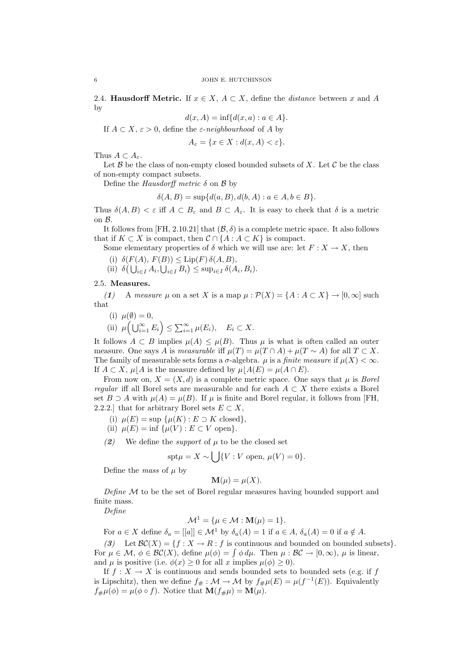2.4. Hausdorff Metric. If  $x \in X$ ,  $A \subset X$ , define the *distance* between x and A by

$$
d(x, A) = \inf\{d(x, a) : a \in A\}.
$$

If  $A \subset X$ ,  $\varepsilon > 0$ , define the  $\varepsilon$ -neighbourhood of A by

$$
A_{\varepsilon} = \{ x \in X : d(x, A) < \varepsilon \}.
$$

Thus  $A \subset A_{\varepsilon}$ .

Let  $\mathcal B$  be the class of non-empty closed bounded subsets of X. Let  $\mathcal C$  be the class of non-empty compact subsets.

Define the Hausdorff metric  $\delta$  on  $\beta$  by

$$
\delta(A, B) = \sup \{ d(a, B), d(b, A) : a \in A, b \in B \}.
$$

Thus  $\delta(A, B) < \varepsilon$  iff  $A \subset B_{\varepsilon}$  and  $B \subset A_{\varepsilon}$ . It is easy to check that  $\delta$  is a metric on B.

It follows from [FH, 2.10.21] that  $(\mathcal{B}, \delta)$  is a complete metric space. It also follows that if  $K \subset X$  is compact, then  $\mathcal{C} \cap \{A : A \subset K\}$  is compact.

Some elementary properties of  $\delta$  which we will use are: let  $F: X \to X$ , then

(i)  $\delta(F(A), F(B)) \le \text{Lip}(F) \, \delta(A, B),$ 

(ii)  $\delta\left(\bigcup_{i\in I} A_i, \bigcup_{i\in I} B_i\right) \leq \sup_{i\in I} \delta(A_i, B_i).$ 

## 2.5. Measures.

(1) A measure  $\mu$  on a set X is a map  $\mu : \mathcal{P}(X) = \{A : A \subset X\} \to [0, \infty]$  such that

(i)  $\mu(\emptyset) = 0$ ,

(ii) 
$$
\mu\left(\bigcup_{i=1}^{\infty} E_i\right) \leq \sum_{i=1}^{\infty} \mu(E_i), \quad E_i \subset X.
$$

It follows  $A \subset B$  implies  $\mu(A) \leq \mu(B)$ . Thus  $\mu$  is what is often called an outer measure. One says A is measurable iff  $\mu(T) = \mu(T \cap A) + \mu(T \sim A)$  for all  $T \subset X$ . The family of measurable sets forms a  $\sigma$ -algebra.  $\mu$  is a *finite measure* if  $\mu(X) < \infty$ . If  $A \subset X$ ,  $\mu | A$  is the measure defined by  $\mu | A(E) = \mu(A \cap E)$ .

From now on,  $X = (X, d)$  is a complete metric space. One says that  $\mu$  is *Borel* regular iff all Borel sets are measurable and for each  $A \subset X$  there exists a Borel set  $B \supseteq A$  with  $\mu(A) = \mu(B)$ . If  $\mu$  is finite and Borel regular, it follows from [FH, 2.2.2.] that for arbitrary Borel sets  $E \subset X$ ,

- (i)  $\mu(E) = \sup \{ \mu(K) : E \supset K \text{ closed} \}.$
- (ii)  $\mu(E) = \inf \{\mu(V) : E \subset V \text{ open}\}.$
- (2) We define the *support* of  $\mu$  to be the closed set

$$
\text{spt}\mu = X \sim \bigcup \{ V : V \text{ open, } \mu(V) = 0 \}.
$$

Define the mass of  $\mu$  by

$$
\mathbf{M}(\mu) = \mu(X).
$$

Define  $\mathcal M$  to be the set of Borel regular measures having bounded support and finite mass.

Define

$$
\mathcal{M}^1 = \{ \mu \in \mathcal{M} : \mathbf{M}(\mu) = 1 \}.
$$

For  $a \in X$  define  $\delta_a = [[a]] \in \mathcal{M}^1$  by  $\delta_a(A) = 1$  if  $a \in A$ ,  $\delta_a(A) = 0$  if  $a \notin A$ .

(3) Let  $\mathcal{BC}(X) = \{f : X \to R : f \text{ is continuous and bounded on bounded subsets}\}.$ For  $\mu \in \mathcal{M}, \phi \in \mathcal{BC}(X)$ , define  $\mu(\phi) = \int \phi \, d\mu$ . Then  $\mu : \mathcal{BC} \to [0, \infty)$ ,  $\mu$  is linear, and  $\mu$  is positive (i.e.  $\phi(x) \geq 0$  for all x implies  $\mu(\phi) \geq 0$ ).

If  $f: X \to X$  is continuous and sends bounded sets to bounded sets (e.g. if f is Lipschitz), then we define  $f_{\#}: \mathcal{M} \to \mathcal{M}$  by  $f_{\#}\mu(E) = \mu(f^{-1}(E))$ . Equivalently  $f_{\#}\mu(\phi) = \mu(\phi \circ f)$ . Notice that  $\mathbf{M}(f_{\#}\mu) = \mathbf{M}(\mu)$ .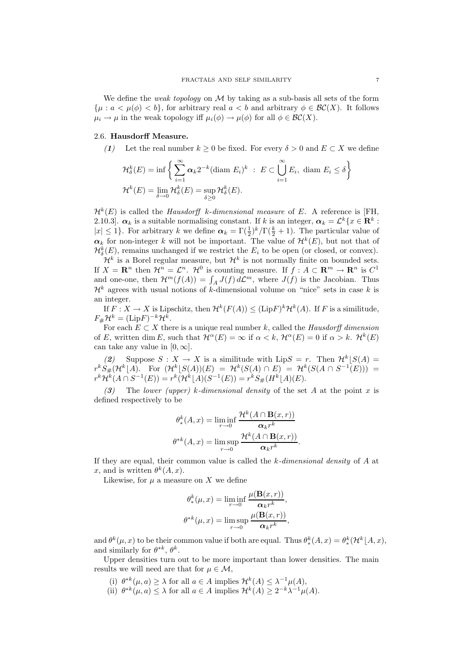We define the *weak topology* on  $M$  by taking as a sub-basis all sets of the form  $\{\mu : a < \mu(\phi) < b\}$ , for arbitrary real  $a < b$  and arbitrary  $\phi \in \mathcal{BC}(X)$ . It follows  $\mu_i \to \mu$  in the weak topology iff  $\mu_i(\phi) \to \mu(\phi)$  for all  $\phi \in \mathcal{BC}(X)$ .

## 2.6. Hausdorff Measure.

(1) Let the real number  $k > 0$  be fixed. For every  $\delta > 0$  and  $E \subset X$  we define

$$
\mathcal{H}_{\delta}^{k}(E) = \inf \left\{ \sum_{i=1}^{\infty} \alpha_{k} 2^{-k} (\text{diam } E_{i})^{k} : E \subset \bigcup_{i=1}^{\infty} E_{i}, \text{diam } E_{i} \le \delta \right\}
$$
  

$$
\mathcal{H}^{k}(E) = \lim_{\delta \to 0} \mathcal{H}_{\delta}^{k}(E) = \sup_{\delta \ge 0} \mathcal{H}_{\delta}^{k}(E).
$$

 $\mathcal{H}^{k}(E)$  is called the *Hausdorff* k-dimensional measure of E. A reference is [FH, 2.10.3].  $\alpha_k$  is a suitable normalising constant. If k is an integer,  $\alpha_k = \mathcal{L}^k \{x \in \mathbf{R}^k :$  $|x| \leq 1$ . For arbitrary k we define  $\alpha_k = \Gamma(\frac{1}{2})^k/\Gamma(\frac{k}{2}+1)$ . The particular value of  $\alpha_k$  for non-integer k will not be important. The value of  $\mathcal{H}^k(E)$ , but not that of  $\mathcal{H}_{\delta}^{k}(E)$ , remains unchanged if we restrict the  $E_{i}$  to be open (or closed, or convex).

 $\mathcal{H}^k$  is a Borel regular measure, but  $\mathcal{H}^k$  is not normally finite on bounded sets. If  $X = \mathbb{R}^n$  then  $\mathcal{H}^n = \mathcal{L}^n$ .  $\mathcal{H}^0$  is counting measure. If  $f : A \subset \mathbb{R}^m \to \mathbb{R}^n$  is  $C^1$ and one-one, then  $\mathcal{H}^m(f(A)) = \int_A J(f) d\mathcal{L}^m$ , where  $J(f)$  is the Jacobian. Thus  $\mathcal{H}^k$  agrees with usual notions of k-dimensional volume on "nice" sets in case k is an integer.

If  $F: X \to X$  is Lipschitz, then  $\mathcal{H}^k(F(A)) \leq (\text{Lip} F)^k \mathcal{H}^k(A)$ . If F is a similitude,  $F_{\#} \mathcal{H}^k = (\text{Lip}F)^{-k} \mathcal{H}^k.$ 

For each  $E \subset X$  there is a unique real number k, called the Hausdorff dimension of E, written dim E, such that  $\mathcal{H}^{\alpha}(E) = \infty$  if  $\alpha < k$ ,  $\mathcal{H}^{\alpha}(E) = 0$  if  $\alpha > k$ .  $\mathcal{H}^{k}(E)$ can take any value in  $[0, \infty]$ .

(2) Suppose  $S: X \to X$  is a similitude with  $\text{Lip}S = r$ . Then  $\mathcal{H}^k[S(A)] =$  $r^k S_\#(\mathcal{H}^k[A])$ . For  $(\mathcal{H}^k[S(A))(E) = \mathcal{H}^k(S(A) \cap E) = \mathcal{H}^k(S(A \cap S^{-1}(E)))$  $r^k \mathcal{H}^k(A \cap S^{-1}(E)) = r^k (\mathcal{H}^k\lfloor A)(S^{-1}(E)) = r^k S_{\#}(H^k\lfloor A)(E).$ 

(3) The lower (upper) k-dimensional density of the set A at the point x is defined respectively to be

$$
\theta_*^k(A, x) = \liminf_{r \to 0} \frac{\mathcal{H}^k(A \cap \mathbf{B}(x, r))}{\alpha_k r^k}
$$

$$
\theta^{*k}(A, x) = \limsup_{r \to 0} \frac{\mathcal{H}^k(A \cap \mathbf{B}(x, r))}{\alpha_k r^k}.
$$

If they are equal, their common value is called the  $k$ -dimensional density of  $A$  at x, and is written  $\theta^k(A, x)$ .

Likewise, for  $\mu$  a measure on X we define

$$
\theta_*^k(\mu, x) = \liminf_{r \to 0} \frac{\mu(\mathbf{B}(x, r))}{\alpha_k r^k},
$$

$$
\theta^{*k}(\mu, x) = \limsup_{r \to 0} \frac{\mu(\mathbf{B}(x, r))}{\alpha_k r^k},
$$

and  $\theta^k(\mu, x)$  to be their common value if both are equal. Thus  $\theta^k_*(A, x) = \theta^k_*(\mathcal{H}^k[A, x),$ and similarly for  $\theta^{*k}, \theta^k$ .

Upper densities turn out to be more important than lower densities. The main results we will need are that for  $\mu \in \mathcal{M}$ ,

- (i)  $\theta^{*k}(\mu, a) \ge \lambda$  for all  $a \in A$  implies  $\mathcal{H}^k(A) \le \lambda^{-1} \mu(A)$ ,
- (ii)  $\theta^{*k}(\mu, a) \leq \lambda$  for all  $a \in A$  implies  $\mathcal{H}^k(A) \geq 2^{-k}\lambda^{-1}\mu(A)$ .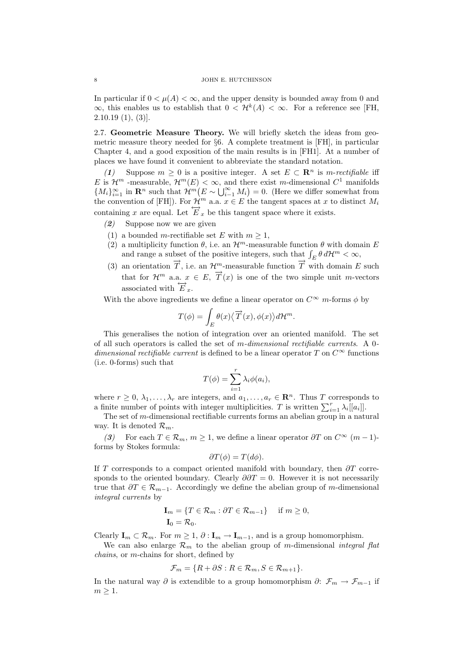In particular if  $0 < \mu(A) < \infty$ , and the upper density is bounded away from 0 and  $\infty$ , this enables us to establish that  $0 < H^k(A) < \infty$ . For a reference see [FH,  $2.10.19(1), (3)$ ].

2.7. Geometric Measure Theory. We will briefly sketch the ideas from geometric measure theory needed for §6. A complete treatment is [FH], in particular Chapter 4, and a good exposition of the main results is in [FH1]. At a number of places we have found it convenient to abbreviate the standard notation.

(1) Suppose  $m \geq 0$  is a positive integer. A set  $E \subset \mathbb{R}^n$  is *m-rectifiable* iff E is  $\mathcal{H}^m$  -measurable,  $\mathcal{H}^m(E) < \infty$ , and there exist m-dimensional  $C^1$  manifolds  ${M_i}_{i=1}^{\infty}$  in  $\mathbb{R}^n$  such that  $\mathcal{H}^m(E \sim \bigcup_{i=1}^{\infty} M_i) = 0$ . (Here we differ somewhat from the convention of [FH]). For  $\mathcal{H}^m$  a.a.  $x \in E$  the tangent spaces at x to distinct  $M_i$ containing x are equal. Let  $\overleftrightarrow{E}_x$  be this tangent space where it exists.

- (2) Suppose now we are given
- (1) a bounded m-rectifiable set E with  $m \geq 1$ ,
- (2) a multiplicity function  $\theta$ , i.e. an  $\mathcal{H}^m$ -measurable function  $\theta$  with domain E and range a subset of the positive integers, such that  $\int_E \theta \, d\mathcal{H}^m < \infty$ ,
- (3) an orientation  $\overrightarrow{T}$ , i.e. an  $\mathcal{H}_{\longrightarrow}^m$ -measurable function  $\overrightarrow{T}$  with domain E such that for  $\mathcal{H}^m$  a.a.  $x \in E$ ,  $\overrightarrow{T}(x)$  is one of the two simple unit m-vectors associated with  $\overrightarrow{E}_x$ .

With the above ingredients we define a linear operator on  $C^{\infty}$  m-forms  $\phi$  by

$$
T(\phi) = \int_{E} \theta(x) \langle \overrightarrow{T}(x), \phi(x) \rangle d\mathcal{H}^{m}.
$$

This generalises the notion of integration over an oriented manifold. The set of all such operators is called the set of m-dimensional rectifiable currents. A 0 dimensional rectifiable current is defined to be a linear operator T on  $C^{\infty}$  functions (i.e. 0-forms) such that

$$
T(\phi) = \sum_{i=1}^{r} \lambda_i \phi(a_i),
$$

where  $r \geq 0, \lambda_1, \ldots, \lambda_r$  are integers, and  $a_1, \ldots, a_r \in \mathbb{R}^n$ . Thus T corresponds to a finite number of points with integer multiplicities. T is written  $\sum_{i=1}^{r} \lambda_i[[a_i]]$ .

The set of m-dimensional rectifiable currents forms an abelian group in a natural way. It is denoted  $\mathcal{R}_m$ .

(3) For each  $T \in \mathcal{R}_m$ ,  $m \geq 1$ , we define a linear operator  $\partial T$  on  $C^{\infty}$   $(m-1)$ forms by Stokes formula:

$$
\partial T(\phi) = T(d\phi).
$$

If T corresponds to a compact oriented manifold with boundary, then  $\partial T$  corresponds to the oriented boundary. Clearly  $\partial \partial T = 0$ . However it is not necessarily true that  $\partial T \in \mathcal{R}_{m-1}$ . Accordingly we define the abelian group of m-dimensional integral currents by

$$
\mathbf{I}_m = \{ T \in \mathcal{R}_m : \partial T \in \mathcal{R}_{m-1} \} \quad \text{if } m \ge 0,
$$
  

$$
\mathbf{I}_0 = \mathcal{R}_0.
$$

Clearly  $I_m \subset \mathcal{R}_m$ . For  $m \geq 1$ ,  $\partial : I_m \to I_{m-1}$ , and is a group homomorphism.

We can also enlarge  $\mathcal{R}_m$  to the abelian group of m-dimensional integral flat chains, or m-chains for short, defined by

$$
\mathcal{F}_m = \{ R + \partial S : R \in \mathcal{R}_m, S \in \mathcal{R}_{m+1} \}.
$$

In the natural way  $\partial$  is extendible to a group homomorphism  $\partial: \mathcal{F}_m \to \mathcal{F}_{m-1}$  if  $m \geq 1$ .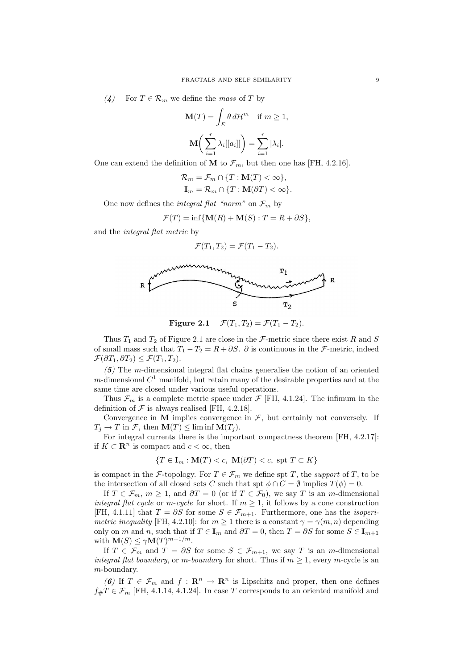(4) For  $T \in \mathcal{R}_m$  we define the mass of T by

$$
\mathbf{M}(T) = \int_{E} \theta \, d\mathcal{H}^m \quad \text{if } m \ge 1,
$$

$$
\mathbf{M}\bigg(\sum_{i=1}^r \lambda_i[[a_i]]\bigg) = \sum_{i=1}^r |\lambda_i|.
$$

One can extend the definition of M to  $\mathcal{F}_m$ , but then one has [FH, 4.2.16].

$$
\mathcal{R}_m = \mathcal{F}_m \cap \{T : \mathbf{M}(T) < \infty\},
$$
\n
$$
\mathbf{I}_m = \mathcal{R}_m \cap \{T : \mathbf{M}(\partial T) < \infty\}.
$$

One now defines the *integral flat "norm"* on  $\mathcal{F}_m$  by

$$
\mathcal{F}(T) = \inf \{ \mathbf{M}(R) + \mathbf{M}(S) : T = R + \partial S \},\
$$

and the integral flat metric by

$$
\mathcal{F}(T_1,T_2)=\mathcal{F}(T_1-T_2).
$$



Figure 2.1  $\mathcal{F}(T_1, T_2) = \mathcal{F}(T_1 - T_2)$ .

Thus  $T_1$  and  $T_2$  of Figure 2.1 are close in the *F*-metric since there exist R and S of small mass such that  $T_1 - T_2 = R + \partial S$ .  $\partial$  is continuous in the *F*-metric, indeed  $\mathcal{F}(\partial T_1, \partial T_2) \leq \mathcal{F}(T_1, T_2).$ 

 $(5)$  The m-dimensional integral flat chains generalise the notion of an oriented m-dimensional  $C^1$  manifold, but retain many of the desirable properties and at the same time are closed under various useful operations.

Thus  $\mathcal{F}_m$  is a complete metric space under  $\mathcal{F}$  [FH, 4.1.24]. The infimum in the definition of  $\mathcal F$  is always realised [FH, 4.2.18].

Convergence in  $M$  implies convergence in  $\mathcal{F}$ , but certainly not conversely. If  $T_j \to T$  in  $\mathcal{F}$ , then  $\mathbf{M}(T) \leq \liminf \mathbf{M}(T_j)$ .

For integral currents there is the important compactness theorem [FH, 4.2.17]: if  $K \subset \mathbb{R}^n$  is compact and  $c < \infty$ , then

$$
\{T \in \mathbf{I}_m : \mathbf{M}(T) < c, \ \mathbf{M}(\partial T) < c, \ \text{spt } T \subset K\}
$$

is compact in the F-topology. For  $T \in \mathcal{F}_m$  we define spt T, the support of T, to be the intersection of all closed sets C such that spt  $\phi \cap C = \emptyset$  implies  $T(\phi) = 0$ .

If  $T \in \mathcal{F}_m$ ,  $m \geq 1$ , and  $\partial T = 0$  (or if  $T \in \mathcal{F}_0$ ), we say T is an m-dimensional integral flat cycle or m-cycle for short. If  $m \geq 1$ , it follows by a cone construction [FH, 4.1.11] that  $T = \partial S$  for some  $S \in \mathcal{F}_{m+1}$ . Furthermore, one has the *isoperi*metric inequality [FH, 4.2.10]: for  $m \geq 1$  there is a constant  $\gamma = \gamma(m, n)$  depending only on m and n, such that if  $T \in I_m$  and  $\partial T = 0$ , then  $T = \partial S$  for some  $S \in I_{m+1}$ with  $\mathbf{M}(S) \le \gamma \mathbf{M}(T)^{m+1/m}$ .

If  $T \in \mathcal{F}_m$  and  $T = \partial S$  for some  $S \in \mathcal{F}_{m+1}$ , we say T is an m-dimensional integral flat boundary, or m-boundary for short. Thus if  $m \geq 1$ , every m-cycle is an m-boundary.

(6) If  $T \in \mathcal{F}_m$  and  $f : \mathbf{R}^n \to \mathbf{R}^n$  is Lipschitz and proper, then one defines  $f_{\#}T \in \mathcal{F}_m$  [FH, 4.1.14, 4.1.24]. In case T corresponds to an oriented manifold and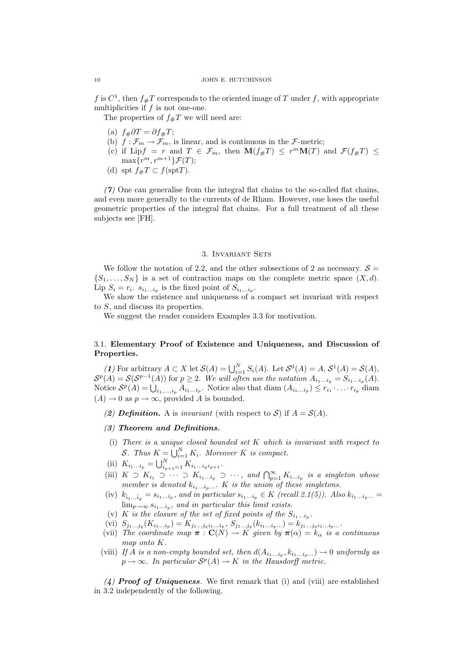f is  $C^1$ , then  $f_{\#}T$  corresponds to the oriented image of T under f, with appropriate multiplicities if  $f$  is not one-one.

The properties of  $f_{\#}T$  we will need are:

- (a)  $f_{\#}\partial T = \partial f_{\#}T;$
- (b)  $f : \mathcal{F}_m \to \mathcal{F}_m$ , is linear, and is continuous in the  $\mathcal{F}\text{-metric}$ ;
- (c) if Lip $f = r$  and  $T \in \mathcal{F}_m$ , then  $\mathbf{M}(f_{\#}T) \leq r^m \mathbf{M}(T)$  and  $\mathcal{F}(f_{\#}T) \leq$  $\max\{r^m, r^{m+1}\}\mathcal{F}(T);$
- (d) spt  $f_{\#}T \subset f(\text{spt}T)$ .

 $(7)$  One can generalise from the integral flat chains to the so-called flat chains, and even more generally to the currents of de Rham. However, one loses the useful geometric properties of the integral flat chains. For a full treatment of all these subjects see [FH].

## 3. Invariant Sets

We follow the notation of 2.2, and the other subsections of 2 as necessary.  $S =$  $\{S_1, \ldots, S_N\}$  is a set of contraction maps on the complete metric space  $(X, d)$ . Lip  $S_i = r_i$ .  $s_{i_1...i_p}$  is the fixed point of  $S_{i_1...i_p}$ .

We show the existence and uniqueness of a compact set invariant with respect to S, and discuss its properties.

We suggest the reader considers Examples 3.3 for motivation.

## 3.1. Elementary Proof of Existence and Uniqueness, and Discussion of Properties.

(1) For arbitrary  $A \subset X$  let  $\mathcal{S}(A) = \bigcup_{i=1}^N S_i(A)$ . Let  $\mathcal{S}^0(A) = A$ ,  $\mathcal{S}^1(A) = \mathcal{S}(A)$ ,  $\mathcal{S}^p(A) = \mathcal{S}(\mathcal{S}^{p-1}(A))$  for  $p \geq 2$ . We will often use the notation  $A_{i_1...i_p} = S_{i_1...i_p}(A)$ . Notice  $S^p(A) = \bigcup_{i_1,\ldots,i_p} A_{i_1\ldots i_p}$ . Notice also that diam  $(A_{i_1\ldots i_p}) \leq r_{i_1} \cdot \ldots \cdot r_{i_p}$  diam  $(A) \to 0$  as  $p \to \infty$ , provided A is bounded.

- (2) Definition. A is invariant (with respect to S) if  $A = \mathcal{S}(A)$ .
- (3) Theorem and Definitions.
- (i) There is a unique closed bounded set K which is invariant with respect to S. Thus  $K = \bigcup_{i=1}^{N} K_i$ . Moreover K is compact.
- (ii)  $K_{i_1...i_p} = \bigcup_{i_{p+1}=1}^{N} K_{i_1...i_p i_{p+1}}.$
- (iii)  $K \supset K_{i_1} \supset \cdots \supset K_{i_1...i_p} \supset \cdots$ , and  $\bigcap_{p=1}^{\infty} K_{i_1...i_p}$  is a singleton whose member is denoted  $k_{i_1...i_p...}$ . K is the union of these singletons.
- (iv)  $k_{\hat{i}_1...\hat{i}_p} = s_{i_1...i_p}$ , and in particular  $s_{i_1...i_p} \in K$  (recall 2.1(5)). Also  $k_{i_1...i_p...} =$  $\lim_{p\to\infty} s_{i_1...i_p}$ , and in particular this limit exists.
- (v) K is the closure of the set of fixed points of the  $S_{i_1...i_p}$ .
- (vi)  $S_{j_1...j_q}(K_{i_1...i_p})=K_{j_1...j_qi_1...i_p}, S_{j_1...j_q}(k_{i_1...i_p...})=k_{j_1...j_qi_1...i_p...}.$
- (vii) The coordinate map  $\boldsymbol{\pi} : \mathbf{C}(N) \to K$  given by  $\boldsymbol{\pi}(\alpha) = k_{\alpha}$  is a continuous map onto K.
- (viii) If A is a non-empty bounded set, then  $d(A_{i_1...i_p}, k_{i_1...i_p...}) \rightarrow 0$  uniformly as  $p \to \infty$ . In particular  $S^p(A) \to K$  in the Hausdorff metric.

(4) **Proof of Uniqueness**. We first remark that (i) and (viii) are established in 3.2 independently of the following.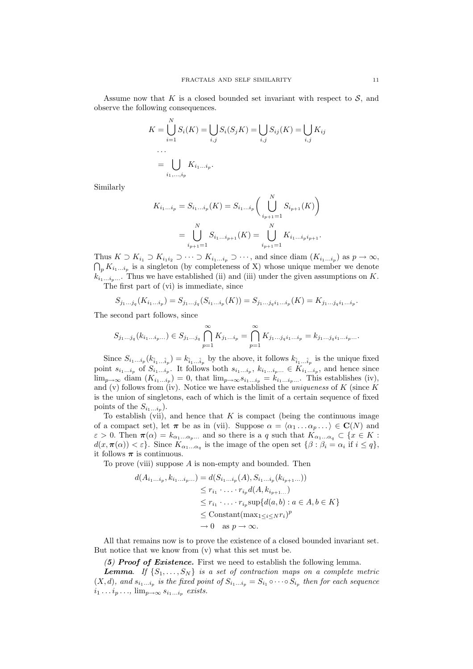Assume now that  $K$  is a closed bounded set invariant with respect to  $S$ , and observe the following consequences.

$$
K = \bigcup_{i=1}^{N} S_i(K) = \bigcup_{i,j} S_i(S_j K) = \bigcup_{i,j} S_{ij}(K) = \bigcup_{i,j} K_{ij}
$$
  
...  

$$
= \bigcup_{i_1, ..., i_p} K_{i_1...i_p}.
$$

Similarly

$$
K_{i_1...i_p} = S_{i_1...i_p}(K) = S_{i_1...i_p}\left(\bigcup_{i_{p+1}=1}^{N} S_{i_{p+1}}(K)\right)
$$
  
= 
$$
\bigcup_{i_{p+1}=1}^{N} S_{i_1...i_{p+1}}(K) = \bigcup_{i_{p+1}=1}^{N} K_{i_1...i_pi_{p+1}}.
$$

Thus  $K \supset K_{i_1} \supset K_{i_1i_2} \supset \cdots \supset K_{i_1...i_p} \supset \cdots$ , and since diam  $(K_{i_1...i_p})$  as  $p \to \infty$ , Thus  $K \supset K_{i_1} \supset K_{i_1 i_2} \supset \cdots \supset K_{i_1 \dots i_p} \supset \cdots$ , and since diam  $(K_{i_1 \dots i_p})$  as  $p \to \infty$ ,  $\bigcap_p K_{i_1 \dots i_p}$  is a singleton (by completeness of X) whose unique member we denote  $k_{i_1...i_p...}$ . Thus we have established (ii) and (iii) under the given assumptions on K.

The first part of (vi) is immediate, since

$$
S_{j_1...j_q}(K_{i_1...i_p}) = S_{j_1...j_q}(S_{i_1...i_p}(K)) = S_{j_1...j_qi_1...i_p}(K) = K_{j_1...j_qi_1...i_p}.
$$

The second part follows, since

$$
S_{j_1...j_q}(k_{i_1...i_p...}) \in S_{j_1...j_q} \bigcap_{p=1}^{\infty} K_{j_1...i_p} = \bigcap_{p=1}^{\infty} K_{j_1...j_qi_1...i_p} = k_{j_1...j_qi_1...i_p...i_p}
$$

Since  $S_{i_1...i_p}(k_{\hat{i}_1...\hat{i}_p})=k_{\hat{i}_1...\hat{i}_p}$  by the above, it follows  $k_{\hat{i}_1...\hat{i}_p}$  is the unique fixed point  $s_{i_1...i_p}$  of  $S_{i_1...i_p}$ . It follows both  $s_{i_1...i_p}$ ,  $k_{i_1...i_p}$ .  $\in K_{i_1...i_p}$ , and hence since  $\lim_{p\to\infty}$  diam  $(K_{i_1...i_p})=0$ , that  $\lim_{p\to\infty} s_{i_1...i_p}=k_{i_1...i_p...}$ . This establishes (iv), and (v) follows from (iv). Notice we have established the *uniqueness* of  $K$  (since  $K$ is the union of singletons, each of which is the limit of a certain sequence of fixed points of the  $S_{i_1...i_p}$ ).

To establish (vii), and hence that  $K$  is compact (being the continuous image of a compact set), let  $\pi$  be as in (vii). Suppose  $\alpha = \langle \alpha_1 ... \alpha_p ... \rangle \in \mathbf{C}(N)$  and  $\varepsilon > 0$ . Then  $\pi(\alpha) = k_{\alpha_1...\alpha_p...}$  and so there is a q such that  $K_{\alpha_1...\alpha_q} \subset \{x \in K :$  $d(x, \pi(\alpha)) < \varepsilon$ . Since  $K_{\alpha_1...\alpha_q}$  is the image of the open set  $\{\beta : \beta_i = \alpha_i \text{ if } i \leq q\},\$ it follows  $\pi$  is continuous.

To prove (viii) suppose  $A$  is non-empty and bounded. Then

$$
d(A_{i_1...i_p}, k_{i_1...i_p...}) = d(S_{i_1...i_p}(A), S_{i_1...i_p}(k_{i_{p+1}...}))
$$
  
\n
$$
\leq r_{i_1} \cdot \ldots \cdot r_{i_p} d(A, k_{i_{p+1}...})
$$
  
\n
$$
\leq r_{i_1} \cdot \ldots \cdot r_{i_p} \sup \{d(a, b) : a \in A, b \in K\}
$$
  
\n
$$
\leq \text{Constant}(\max_{1 \leq i \leq N} r_i)^p
$$
  
\n
$$
\to 0 \text{ as } p \to \infty.
$$

All that remains now is to prove the existence of a closed bounded invariant set. But notice that we know from (v) what this set must be.

(5) Proof of Existence. First we need to establish the following lemma.

**Lemma.** If  $\{S_1, \ldots, S_N\}$  is a set of contraction maps on a complete metric  $(X, d)$ , and  $s_{i_1...i_p}$  is the fixed point of  $S_{i_1...i_p} = S_{i_1} \circ \cdots \circ S_{i_p}$  then for each sequence  $i_1 \dots i_p \dots$ ,  $\lim_{p \to \infty} s_{i_1 \dots i_p}$  exists.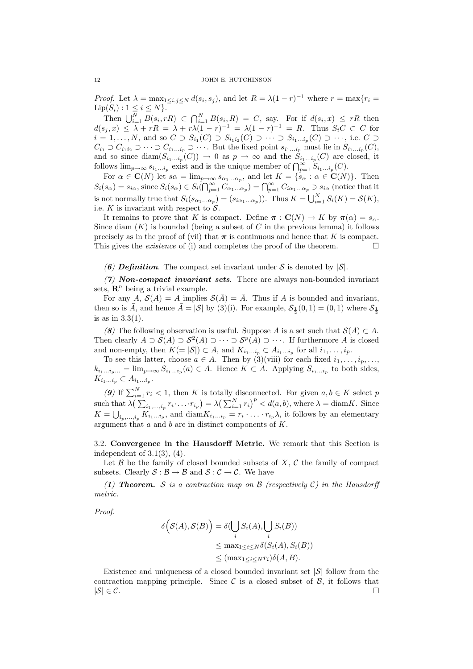*Proof.* Let  $\lambda = \max_{1 \le i,j \le N} d(s_i, s_j)$ , and let  $R = \lambda (1 - r)^{-1}$  where  $r = \max\{r_i = r_j\}$  $Lip(S_i) : 1 \le i \le N$ .

Then  $\bigcup_{i=1}^N B(s_i, rR) \subset \bigcap_{i=1}^N B(s_i, R) = C$ , say. For if  $d(s_i, x) \leq rR$  then  $d(s_j, x) \leq \lambda + rR = \lambda + r\lambda(1 - r)^{-1} = \lambda(1 - r)^{-1} = R.$  Thus  $S_iC \subset C$  for  $i = 1, \ldots, N$ , and so  $C \supset S_{i_1}(C) \supset S_{i_1 i_2}(C) \supset \cdots \supset S_{i_1 \ldots i_p}(C) \supset \cdots$ , i.e.  $C \supset \cdots$  $C_{i_1} \supset C_{i_1 i_2} \supset \cdots \supset C_{i_1...i_p} \supset \cdots$ . But the fixed point  $s_{i_1...i_p}$  must lie in  $S_{i_1...i_p}(C)$ , and so since  $\text{diam}(S_{i_1...i_p}(C)) \to 0$  as  $p \to \infty$  and the  $S_{i_1...i_p}(C)$  are closed, it follows  $\lim_{p\to\infty} s_{i_1...i_p}$  exist and is the unique member of  $\bigcap_{p=1}^{\infty} S_{i_1...i_p}(C)$ .

For  $\alpha \in \mathbf{C}(N)$  let  $s\alpha = \lim_{p \to \infty} s_{\alpha_1...\alpha_p}$ , and let  $K = \{s_\alpha : \alpha \in \mathbf{C}(N)\}\)$ . Then  $S_i(s_\alpha) = s_{i\alpha}$ , since  $S_i(s_\alpha) \in S_i(\bigcap_{p=1}^\infty C_{\alpha_1...\alpha_p}) = \bigcap_{p=1}^\infty C_{i\alpha_1...\alpha_p} \ni s_{i\alpha}$  (notice that it is not normally true that  $S_i(s_{\alpha_1...\alpha_p}) = (s_{i\alpha_1...\alpha_p})$ . Thus  $K = \bigcup_{i=1}^N S_i(K) = \mathcal{S}(K)$ , i.e.  $K$  is invariant with respect to  $S$ .

It remains to prove that K is compact. Define  $\pi : \mathbf{C}(N) \to K$  by  $\pi(\alpha) = s_{\alpha}$ . Since diam  $(K)$  is bounded (being a subset of C in the previous lemma) it follows precisely as in the proof of (vii) that  $\pi$  is continuous and hence that K is compact. This gives the *existence* of (i) and completes the proof of the theorem.  $\Box$ 

(6) Definition. The compact set invariant under S is denoted by  $|\mathcal{S}|$ .

 $(7)$  Non-compact invariant sets. There are always non-bounded invariant sets,  $\mathbf{R}^n$  being a trivial example.

For any A,  $S(A) = A$  implies  $S(\overline{A}) = \overline{A}$ . Thus if A is bounded and invariant, then so is  $\bar{A}$ , and hence  $\bar{A} = |\mathcal{S}|$  by (3)(i). For example,  $\mathcal{S}_{\frac{1}{2}}(0,1) = (0,1)$  where  $\mathcal{S}_{\frac{1}{2}}$ is as in 3.3(1).

(8) The following observation is useful. Suppose A is a set such that  $S(A) \subset A$ . Then clearly  $A \supset S(A) \supset S^2(A) \supset \cdots \supset S^p(A) \supset \cdots$ . If furthermore A is closed and non-empty, then  $K(=|\mathcal{S}|) \subset A$ , and  $K_{i_1...i_p} \subset A_{i_1...i_p}$  for all  $i_1,...,i_p$ .

To see this latter, choose  $a \in A$ . Then by  $(3)(viii)$  for each fixed  $i_1, \ldots, i_p, \ldots$  $k_{i_1...i_p...} = \lim_{p \to \infty} S_{i_1...i_p}(a) \in A$ . Hence  $K \subset A$ . Applying  $S_{i_1...i_p}$  to both sides,  $K_{i_1...i_p} \subset A_{i_1...i_p}.$ 

(9) If  $\sum_{i=1}^{N} r_i < 1$ , then K is totally disconnected. For given  $a, b \in K$  select p such that  $\lambda(\sum_{i_1,\ldots,i_p} r_i \cdot \ldots \cdot r_{i_p}) = \lambda(\sum_{i=1}^N r_i)^p < d(a,b)$ , where  $\lambda = \text{diam } K$ . Since  $K = \bigcup_{i_p,\ldots,i_p} K_{i_1\ldots i_p}$ , and  $\text{diam} K_{i_1\ldots i_p} = r_i \cdot \ldots \cdot r_{i_p} \lambda$ , it follows by an elementary argument that a and b are in distinct components of K.

3.2. Convergence in the Hausdorff Metric. We remark that this Section is independent of 3.1(3), (4).

Let  $\beta$  be the family of closed bounded subsets of X, C the family of compact subsets. Clearly  $S : \mathcal{B} \to \mathcal{B}$  and  $S : \mathcal{C} \to \mathcal{C}$ . We have

(1) **Theorem.** S is a contraction map on  $\beta$  (respectively C) in the Hausdorff metric.

Proof.

$$
\delta\left(\mathcal{S}(A), \mathcal{S}(B)\right) = \delta\left(\bigcup_{i} S_i(A), \bigcup_{i} S_i(B)\right)
$$
  
\n
$$
\leq \max_{1 \leq i \leq N} \delta\left(S_i(A), S_i(B)\right)
$$
  
\n
$$
\leq (\max_{1 \leq i \leq N} r_i) \delta(A, B).
$$

Existence and uniqueness of a closed bounded invariant set  $|\mathcal{S}|$  follow from the contraction mapping principle. Since C is a closed subset of B, it follows that  $|S| \in C$ .  $|S| \in \mathcal{C}$ .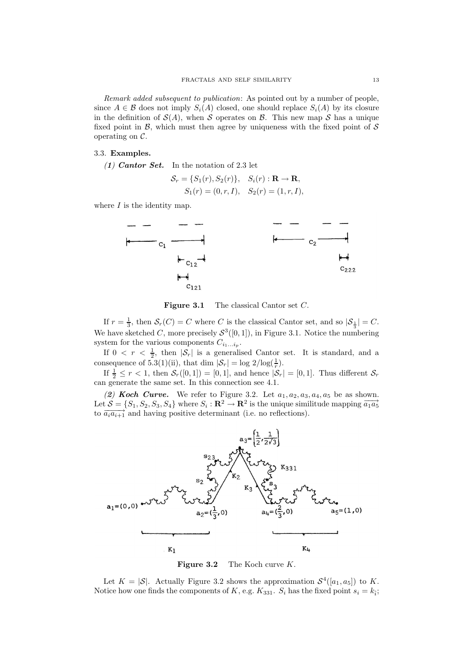Remark added subsequent to publication: As pointed out by a number of people, since  $A \in \mathcal{B}$  does not imply  $S_i(A)$  closed, one should replace  $S_i(A)$  by its closure in the definition of  $\mathcal{S}(A)$ , when S operates on B. This new map S has a unique fixed point in  $\mathcal{B}$ , which must then agree by uniqueness with the fixed point of  $\mathcal{S}$ operating on  $\mathcal{C}$ .

## 3.3. Examples.

(1) Cantor Set. In the notation of 2.3 let

$$
S_r = \{S_1(r), S_2(r)\}, S_i(r) : \mathbf{R} \to \mathbf{R}, S_1(r) = (0, r, I), S_2(r) = (1, r, I),
$$

where  $I$  is the identity map.



Figure 3.1 The classical Cantor set C.

If  $r = \frac{1}{3}$ , then  $S_r(C) = C$  where C is the classical Cantor set, and so  $|S_{\frac{1}{3}}| = C$ . We have sketched C, more precisely  $S^3([0,1])$ , in Figure 3.1. Notice the numbering system for the various components  $C_{i_1...i_p}$ .

If  $0 < r < \frac{1}{2}$ , then  $|\mathcal{S}_r|$  is a generalised Cantor set. It is standard, and a consequence of 5.3(1)(ii), that dim  $|\mathcal{S}_r| = \log 2/\log(\frac{1}{r})$ .

If  $\frac{1}{2} \leq r < 1$ , then  $S_r([0, 1]) = [0, 1]$ , and hence  $|S_r| = [0, 1]$ . Thus different  $S_r$ can generate the same set. In this connection see 4.1.

(2) Koch Curve. We refer to Figure 3.2. Let  $a_1, a_2, a_3, a_4, a_5$  be as shown. Let  $\mathcal{S} = \{S_1, S_2, S_3, S_4\}$  where  $S_i : \mathbf{R}^2 \to \mathbf{R}^2$  is the unique similitude mapping  $\overrightarrow{a_1 a_5}$ to  $\overrightarrow{a_i a_{i+1}}$  and having positive determinant (i.e. no reflections).



Figure 3.2 The Koch curve K.

Let  $K = |\mathcal{S}|$ . Actually Figure 3.2 shows the approximation  $\mathcal{S}^4([a_1, a_5])$  to K. Notice how one finds the components of K, e.g.  $K_{331}$ .  $S_i$  has the fixed point  $s_i = k_i$ ;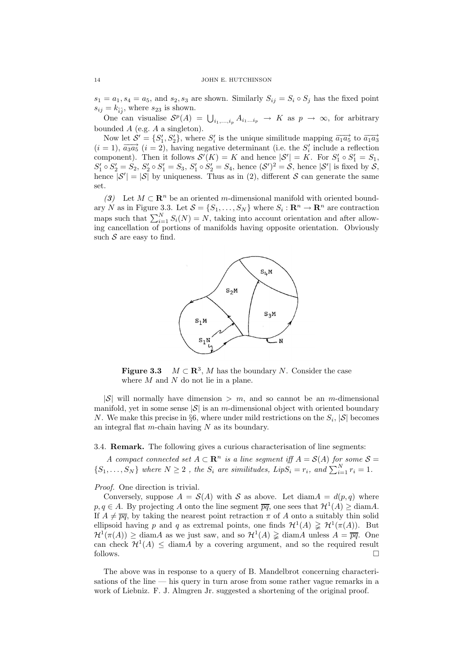$s_1 = a_1, s_4 = a_5$ , and  $s_2, s_3$  are shown. Similarly  $S_{ij} = S_i \circ S_j$  has the fixed point  $s_{ij} = k_{\hat{i}\hat{j}}$ , where  $s_{23}$  is shown.

One can visualise  $S^p(A) = \bigcup_{i_1,\ldots,i_p} A_{i_1\ldots i_p} \to K$  as  $p \to \infty$ , for arbitrary bounded A (e.g. A a singleton).

Now let  $\mathcal{S}' = \{S'_1, S'_2\}$ , where  $S'_i$  is the unique similitude mapping  $\overrightarrow{a_1 a_5}$  to  $\overrightarrow{a_1 a_3}$  $(i = 1)$ ,  $\overrightarrow{a_3 a_5}$   $(i = 2)$ , having negative determinant (i.e. the  $S'_i$  include a reflection component). Then it follows  $\mathcal{S}'(K) = K$  and hence  $|\mathcal{S}'| = K$ . For  $S'_1 \circ S'_1 = S_1$ ,  $S'_1 \circ S'_2 = S_2$ ,  $S'_2 \circ S'_1 = S_3$ ,  $S'_1 \circ S'_2 = S_4$ , hence  $(S')^2 = S$ , hence  $|S'|$  is fixed by S, hence  $|S'| = |S|$  by uniqueness. Thus as in (2), different S can generate the same set.

(3) Let  $M \subset \mathbb{R}^n$  be an oriented m-dimensional manifold with oriented boundary N as in Figure 3.3. Let  $S = \{S_1, \ldots, S_N\}$  where  $S_i : \mathbb{R}^n \to \mathbb{R}^n$  are contraction maps such that  $\sum_{i=1}^{N} S_i(N) = N$ , taking into account orientation and after allowing cancellation of portions of manifolds having opposite orientation. Obviously such  $S$  are easy to find.



**Figure 3.3**  $M \subset \mathbb{R}^3$ , M has the boundary N. Consider the case where  $M$  and  $N$  do not lie in a plane.

 $|S|$  will normally have dimension  $\geq m$ , and so cannot be an m-dimensional manifold, yet in some sense  $|\mathcal{S}|$  is an m-dimensional object with oriented boundary N. We make this precise in §6, where under mild restrictions on the  $S_i$ ,  $|S|$  becomes an integral flat m-chain having  $N$  as its boundary.

3.4. Remark. The following gives a curious characterisation of line segments:

A compact connected set  $A \subset \mathbb{R}^n$  is a line segment iff  $A = \mathcal{S}(A)$  for some  $\mathcal{S} =$  $\{S_1, \ldots, S_N\}$  where  $N \geq 2$ , the  $S_i$  are similitudes,  $LipS_i = r_i$ , and  $\sum_{i=1}^{N} r_i = 1$ .

Proof. One direction is trivial.

Conversely, suppose  $A = \mathcal{S}(A)$  with S as above. Let  $\text{diam} A = d(p,q)$  where  $p, q \in A$ . By projecting A onto the line segment  $\overline{pq}$ , one sees that  $\mathcal{H}^1(A) \ge \text{diam} A$ . If  $A \neq \overline{pq}$ , by taking the nearest point retraction  $\pi$  of A onto a suitably thin solid ellipsoid having p and q as extremal points, one finds  $\mathcal{H}^1(A) \geq \mathcal{H}^1(\pi(A))$ . But  $\mathcal{H}^1(\pi(A)) \geq \text{diam} A$  as we just saw, and so  $\mathcal{H}^1(A) \geq \text{diam} A$  unless  $A = \overline{pq}$ . One can check  $\mathcal{H}^1(A) \leq \text{diam } A$  by a covering argument, and so the required result follows.  $\Box$ 

The above was in response to a query of B. Mandelbrot concerning characterisations of the line — his query in turn arose from some rather vague remarks in a work of Liebniz. F. J. Almgren Jr. suggested a shortening of the original proof.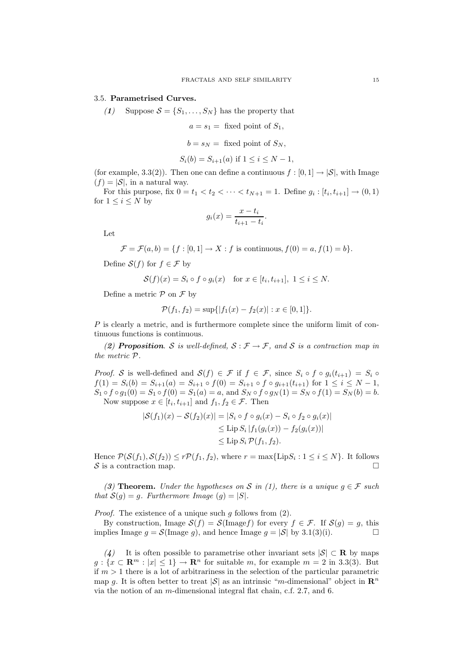### 3.5. Parametrised Curves.

(1) Suppose  $S = \{S_1, \ldots, S_N\}$  has the property that

$$
a = s_1 =
$$
 fixed point of  $S_1$ ,

$$
b = s_N =
$$
 fixed point of  $S_N$ ,

$$
S_i(b) = S_{i+1}(a) \text{ if } 1 \le i \le N - 1,
$$

(for example, 3.3(2)). Then one can define a continuous  $f : [0, 1] \rightarrow |S|$ , with Image  $(f) = |\mathcal{S}|$ , in a natural way.

For this purpose, fix  $0 = t_1 < t_2 < \cdots < t_{N+1} = 1$ . Define  $g_i : [t_i, t_{i+1}] \to (0, 1)$ for  $1 \leq i \leq N$  by

$$
g_i(x) = \frac{x - t_i}{t_{i+1} - t_i}.
$$

Let

$$
\mathcal{F} = \mathcal{F}(a, b) = \{f : [0, 1] \to X : f \text{ is continuous}, f(0) = a, f(1) = b\}.
$$

Define  $S(f)$  for  $f \in \mathcal{F}$  by

$$
\mathcal{S}(f)(x) = S_i \circ f \circ g_i(x) \quad \text{for } x \in [t_i, t_{i+1}], \ 1 \le i \le N.
$$

Define a metric  $P$  on  $\mathcal F$  by

$$
\mathcal{P}(f_1, f_2) = \sup\{|f_1(x) - f_2(x)| : x \in [0, 1]\}.
$$

P is clearly a metric, and is furthermore complete since the uniform limit of continuous functions is continuous.

(2) **Proposition.** S is well-defined,  $S : \mathcal{F} \to \mathcal{F}$ , and S is a contraction map in the metric P.

*Proof.* S is well-defined and  $S(f) \in \mathcal{F}$  if  $f \in \mathcal{F}$ , since  $S_i \circ f \circ g_i(t_{i+1}) = S_i \circ f$  $f(1) = S_i(b) = S_{i+1}(a) = S_{i+1} \circ f(0) = S_{i+1} \circ f \circ g_{i+1}(t_{i+1})$  for  $1 \le i \le N-1$ ,  $S_1 \circ f \circ g_1(0) = S_1 \circ f(0) = S_1(a) = a$ , and  $S_N \circ f \circ g_N(1) = S_N \circ f(1) = S_N(b) = b$ . Now suppose  $x \in [t_i, t_{i+1}]$  and  $f_1, f_2 \in \mathcal{F}$ . Then

$$
|S(f_1)(x) - S(f_2)(x)| = |S_i \circ f \circ g_i(x) - S_i \circ f_2 \circ g_i(x)|
$$
  
\n
$$
\leq \text{Lip } S_i |f_1(g_i(x)) - f_2(g_i(x))|
$$
  
\n
$$
\leq \text{Lip } S_i \mathcal{P}(f_1, f_2).
$$

Hence  $\mathcal{P}(\mathcal{S}(f_1), \mathcal{S}(f_2)) \le r\mathcal{P}(f_1, f_2)$ , where  $r = \max\{\text{LipS}_i : 1 \le i \le N\}$ . It follows S is a contraction map.

(3) Theorem. Under the hypotheses on S in (1), there is a unique  $g \in \mathcal{F}$  such that  $S(g) = g$ . Furthermore Image  $(g) = |S|$ .

*Proof.* The existence of a unique such g follows from  $(2)$ .

By construction, Image  $S(f) = S(\text{Image } f)$  for every  $f \in \mathcal{F}$ . If  $S(g) = g$ , this plies Image  $g = S(\text{Image } g)$ , and hence Image  $g = |S|$  by 3.1(3)(i). implies Image  $g = \mathcal{S}(\text{Image } g)$ , and hence Image  $g = |\mathcal{S}|$  by 3.1(3)(i).

(4) It is often possible to parametrise other invariant sets  $|\mathcal{S}| \subset \mathbf{R}$  by maps  $g: \{x \in \mathbb{R}^m : |x| \leq 1\} \to \mathbb{R}^n$  for suitable m, for example  $m = 2$  in 3.3(3). But if  $m > 1$  there is a lot of arbitrariness in the selection of the particular parametric map g. It is often better to treat |S| as an intrinsic "m-dimensional" object in  $\mathbb{R}^n$ via the notion of an m-dimensional integral flat chain, c.f. 2.7, and 6.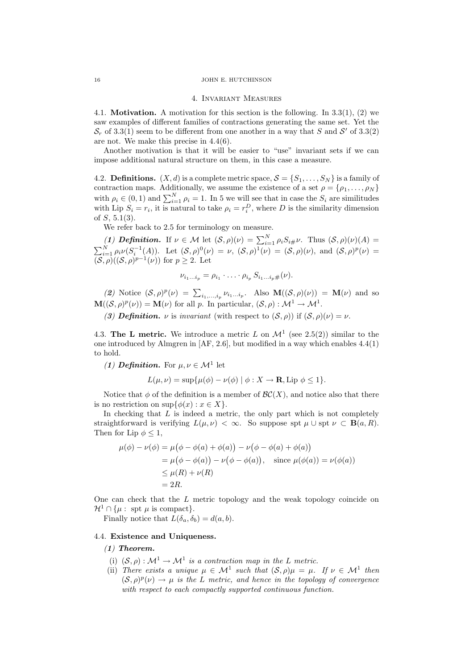#### 16 JOHN E. HUTCHINSON

#### 4. Invariant Measures

4.1. Motivation. A motivation for this section is the following. In 3.3(1), (2) we saw examples of different families of contractions generating the same set. Yet the  $S_r$  of 3.3(1) seem to be different from one another in a way that S and S' of 3.3(2) are not. We make this precise in 4.4(6).

Another motivation is that it will be easier to "use" invariant sets if we can impose additional natural structure on them, in this case a measure.

4.2. **Definitions.**  $(X, d)$  is a complete metric space,  $S = \{S_1, \ldots, S_N\}$  is a family of contraction maps. Additionally, we assume the existence of a set  $\rho = {\rho_1, \ldots, \rho_N}$ with  $\rho_i \in (0,1)$  and  $\sum_{i=1}^N \rho_i = 1$ . In 5 we will see that in case the  $S_i$  are similitudes with Lip  $S_i = r_i$ , it is natural to take  $\rho_i = r_i^D$ , where D is the similarity dimension of  $S$ , 5.1(3).

We refer back to 2.5 for terminology on measure.

(1) **Definition.** If  $\nu \in \mathcal{M}$  let  $(\mathcal{S}, \rho)(\nu) = \sum_{i=1}^N \rho_i S_{i\#} \nu$ . Thus  $(\mathcal{S}, \rho)(\nu)(A) =$  $\sum_{i=1}^N \rho_i \nu (S_i^{-1}(A))$ . Let  $(S, \rho)^0(\nu) = \nu$ ,  $(S, \rho)^1(\nu) = (S, \rho)(\nu)$ , and  $(S, \rho)^p(\nu) =$  $(S, \rho)((S, \rho)^{p-1}(\nu))$  for  $p \geq 2$ . Let

$$
\nu_{i_1\ldots i_p}=\rho_{i_1}\cdot\ldots\cdot\rho_{i_p}\,S_{i_1\ldots i_p}\#(\nu).
$$

(2) Notice  $(S, \rho)^p(\nu) = \sum_{i_1,\dots,i_p} \nu_{i_1\dots i_p}$ . Also  $\mathbf{M}((S, \rho)(\nu)) = \mathbf{M}(\nu)$  and so  $\mathbf{M}((\mathcal{S}, \rho)^p(\nu)) = \mathbf{M}(\nu)$  for all p. In particular,  $(\mathcal{S}, \rho) : \mathcal{M}^1 \to \mathcal{M}^1$ .

(3) Definition.  $\nu$  is invariant (with respect to  $(S, \rho)$ ) if  $(S, \rho)(\nu) = \nu$ .

4.3. The L metric. We introduce a metric L on  $\mathcal{M}^1$  (see 2.5(2)) similar to the one introduced by Almgren in [AF, 2.6], but modified in a way which enables 4.4(1) to hold.

(1) **Definition.** For  $\mu, \nu \in \mathcal{M}^1$  let

$$
L(\mu, \nu) = \sup \{ \mu(\phi) - \nu(\phi) \mid \phi : X \to \mathbf{R}, \text{Lip } \phi \le 1 \}.
$$

Notice that  $\phi$  of the definition is a member of  $\mathcal{BC}(X)$ , and notice also that there is no restriction on  $\sup\{\phi(x): x \in X\}.$ 

In checking that  $L$  is indeed a metric, the only part which is not completely straightforward is verifying  $L(\mu, \nu) < \infty$ . So suppose spt  $\mu \cup$  spt  $\nu \subset \mathbf{B}(a, R)$ . Then for Lip  $\phi \leq 1$ ,

$$
\mu(\phi) - \nu(\phi) = \mu(\phi - \phi(a) + \phi(a)) - \nu(\phi - \phi(a) + \phi(a))
$$
  
=  $\mu(\phi - \phi(a)) - \nu(\phi - \phi(a)),$  since  $\mu(\phi(a)) = \nu(\phi(a))$   
 $\leq \mu(R) + \nu(R)$   
= 2R.

One can check that the L metric topology and the weak topology coincide on  $\mathcal{H}^1 \cap \{ \mu : \text{ spt } \mu \text{ is compact} \}.$ 

Finally notice that  $L(\delta_a, \delta_b) = d(a, b)$ .

## 4.4. Existence and Uniqueness.

(1) Theorem.

- (i)  $(S, \rho) : \mathcal{M}^1 \to \mathcal{M}^1$  is a contraction map in the L metric.
- (ii) There exists a unique  $\mu \in \mathcal{M}^1$  such that  $(\mathcal{S}, \rho)\mu = \mu$ . If  $\nu \in \mathcal{M}^1$  then  $(S, \rho)^p(\nu) \to \mu$  is the L metric, and hence in the topology of convergence with respect to each compactly supported continuous function.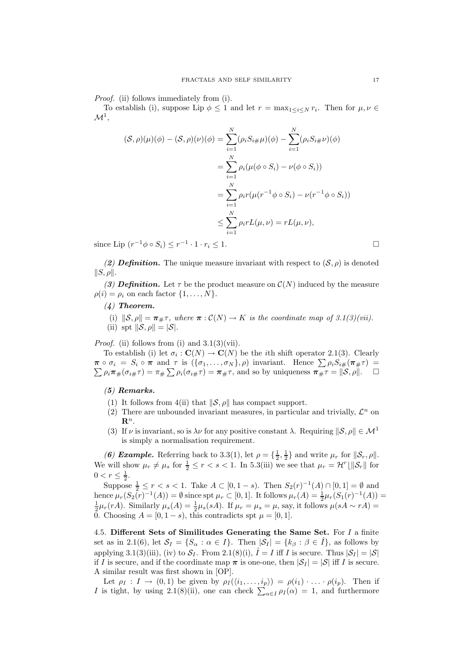Proof. (ii) follows immediately from (i).

To establish (i), suppose Lip  $\phi \leq 1$  and let  $r = \max_{1 \leq i \leq N} r_i$ . Then for  $\mu, \nu \in$  $\mathcal{M}^1$ 

$$
(\mathcal{S}, \rho)(\mu)(\phi) - (\mathcal{S}, \rho)(\nu)(\phi) = \sum_{i=1}^{N} (\rho_i S_{i\#} \mu)(\phi) - \sum_{i=1}^{N} (\rho_i S_{i\#} \nu)(\phi)
$$

$$
= \sum_{i=1}^{N} \rho_i (\mu(\phi \circ S_i) - \nu(\phi \circ S_i))
$$

$$
= \sum_{i=1}^{N} \rho_i r(\mu(r^{-1}\phi \circ S_i) - \nu(r^{-1}\phi \circ S_i))
$$

$$
\leq \sum_{i=1}^{N} \rho_i rL(\mu, \nu) = rL(\mu, \nu),
$$

since Lip  $(r^{-1}\phi \circ S_i) \leq r^{-1} \cdot 1 \cdot r_i \leq 1.$ 

(2) **Definition.** The unique measure invariant with respect to  $(\mathcal{S}, \rho)$  is denoted  $||S, \rho||.$ 

(3) **Definition.** Let  $\tau$  be the product measure on  $\mathcal{C}(N)$  induced by the measure  $\rho(i) = \rho_i$  on each factor  $\{1, \ldots, N\}.$ 

# (4) Theorem.

\n- (i) 
$$
\|\mathcal{S}, \rho\| = \pi_{\#}\tau
$$
, where  $\pi : \mathcal{C}(N) \to K$  is the coordinate map of 3.1(3)(vii).
\n- (ii) spt  $\|\mathcal{S}, \rho\| = |\mathcal{S}|$ .
\n

*Proof.* (ii) follows from (i) and  $3.1(3)(\n$ vii).

To establish (i) let  $\sigma_i : \mathbf{C}(N) \to \mathbf{C}(N)$  be the *i*th shift operator 2.1(3). Clearly  $\pi \circ \sigma_i = S_i \circ \pi$  and  $\tau$  is  $(\{\sigma_1, \ldots, \sigma_N\}, \rho)$  invariant. Hence  $\sum \rho_i S_{i\#}(\pi_{\#} \tau) =$  $\sum \rho_i \pi_{\#}(\sigma_{i\#}\tau) = \pi_{\#} \sum \rho_i(\sigma_{i\#}\tau) = \pi_{\#}\tau$ , and so by uniqueness  $\pi_{\#}\tau = ||S, \rho||$ .  $\Box$ 

## (5) Remarks.

- (1) It follows from 4(ii) that  $\|\mathcal{S}, \rho\|$  has compact support.
- (2) There are unbounded invariant measures, in particular and trivially,  $\mathcal{L}^n$  on  $\mathbf{R}^n$ .
- (3) If  $\nu$  is invariant, so is  $\lambda \nu$  for any positive constant  $\lambda$ . Requiring  $\|\mathcal{S}, \rho\| \in \mathcal{M}^1$ is simply a normalisation requirement.

(6) Example. Referring back to 3.3(1), let  $\rho = \{\frac{1}{2}, \frac{1}{2}\}\$  and write  $\mu_r$  for  $\|\mathcal{S}_r, \rho\|$ . We will show  $\mu_r \neq \mu_s$  for  $\frac{1}{2} \leq r < s < 1$ . In 5.3(iii) we see that  $\mu_r = \mathcal{H}^r \lfloor ||\mathcal{S}_r||$  for  $0 < r \leq \frac{1}{2}$ .

Suppose  $\frac{1}{2} \le r < s < 1$ . Take  $A \subset [0, 1-s)$ . Then  $S_2(r)^{-1}(A) \cap [0, 1] = \emptyset$  and hence  $\mu_r(S_2(r)^{-1}(A)) = \emptyset$  since spt  $\mu_r \subset [0,1]$ . It follows  $\mu_r(A) = \frac{1}{2}\mu_r(S_1(r)^{-1}(A)) =$  $\frac{1}{2}\mu_r(rA)$ . Similarly  $\mu_s(A) = \frac{1}{2}\mu_s(sA)$ . If  $\mu_r = \mu_s = \mu$ , say, it follows  $\mu(sA \sim rA)$ 0. Choosing  $A = [0, 1-s)$ , this contradicts spt  $\mu = [0, 1]$ .

4.5. Different Sets of Similitudes Generating the Same Set. For  $I$  a finite set as in 2.1(6), let  $S_I = \{S_\alpha : \alpha \in I\}$ . Then  $|S_I| = \{k_\beta : \beta \in \hat{I}\}$ , as follows by applying 3.1(3)(iii), (iv) to  $S_I$ . From 2.1(8)(i),  $\hat{I} = I$  iff I is secure. Thus  $|S_I| = |S|$ if I is secure, and if the coordinate map  $\pi$  is one-one, then  $|\mathcal{S}_I| = |\mathcal{S}|$  iff I is secure. A similar result was first shown in [OP].

Let  $\rho_I : I \to (0,1)$  be given by  $\rho_I(\langle i_1, \ldots, i_p \rangle) = \rho(i_1) \cdot \ldots \cdot \rho(i_p)$ . Then if I is tight, by using 2.1(8)(ii), one can check  $\sum_{\alpha \in I} \rho_I(\alpha) = 1$ , and furthermore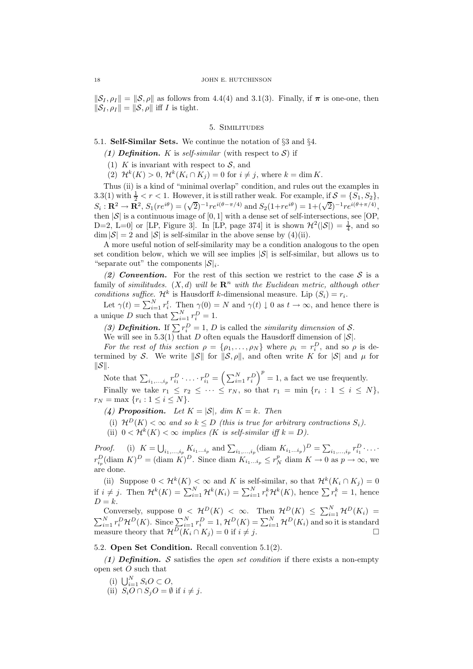$\|\mathcal{S}_I, \rho_I\| = \|\mathcal{S}, \rho\|$  as follows from 4.4(4) and 3.1(3). Finally, if  $\pi$  is one-one, then  $\|\mathcal{S}_I, \rho_I\| = \|\mathcal{S}, \rho\|$  iff I is tight.

## 5. Similitudes

## 5.1. Self-Similar Sets. We continue the notation of §3 and §4.

- (1) Definition. K is self-similar (with respect to S) if
- (1) K is invariant with respect to  $S$ , and
- (2)  $\mathcal{H}^k(K) > 0$ ,  $\mathcal{H}^k(K_i \cap K_j) = 0$  for  $i \neq j$ , where  $k = \dim K$ .

Thus (ii) is a kind of "minimal overlap" condition, and rules out the examples in 3.3(1) with  $\frac{1}{2} < r < 1$ . However, it is still rather weak. For example, if  $\mathcal{S} = \{S_1, S_2\}$ ,  $S_i: \mathbf{R}^2 \to \mathbf{R}^2$ ,  $S_1(re^{i\theta}) = (\sqrt{2})^{-1}re^{i(\theta-\pi/4)}$  and  $S_2(1+re^{i\theta}) = 1+(\sqrt{2})^{-1}re^{i(\theta+\pi/4)}$ , then  $|\mathcal{S}|$  is a continuous image of  $[0, 1]$  with a dense set of self-intersections, see  $[OP,$ D=2, L=0] or [LP, Figure 3]. In [LP, page 374] it is shown  $\mathcal{H}^2(|\mathcal{S}|) = \frac{1}{4}$ , and so  $\dim |\mathcal{S}| = 2$  and  $|\mathcal{S}|$  is self-similar in the above sense by (4)(ii).

A more useful notion of self-similarity may be a condition analogous to the open set condition below, which we will see implies  $|\mathcal{S}|$  is self-similar, but allows us to "separate out" the components  $|\mathcal{S}|_i$ .

(2) Convention. For the rest of this section we restrict to the case  $S$  is a family of similitudes.  $(X, d)$  will be  $\mathbb{R}^n$  with the Euclidean metric, although other conditions suffice.  $\mathcal{H}^k$  is Hausdorff k-dimensional measure. Lip  $(S_i) = r_i$ .

Let  $\gamma(t) = \sum_{i=1}^{N} r_i^t$ . Then  $\gamma(0) = N$  and  $\gamma(t) \downarrow 0$  as  $t \to \infty$ , and hence there is a unique D such that  $\sum_{i=1}^{N} r_i^D = 1$ .

(3) **Definition.** If  $\sum r_i^D = 1$ , *D* is called the *similarity dimension* of *S*.

We will see in 5.3(1) that D often equals the Hausdorff dimension of  $|\mathcal{S}|$ .

For the rest of this section  $\rho = {\rho_1, \ldots, \rho_N}$  where  $\rho_i = r_i^D$ , and so  $\rho$  is determined by S. We write  $\|\mathcal{S}\|$  for  $\|\mathcal{S}, \rho\|$ , and often write K for  $|\mathcal{S}|$  and  $\mu$  for  $\|\mathcal{S}\|.$ 

Note that  $\sum_{i_1,\dots,i_p} r_{i_1}^D \cdot \ldots \cdot r_{i_1}^D = \left(\sum_{i=1}^N r_i^D\right)^p = 1$ , a fact we use frequently.

Finally we take  $r_1 \leq r_2 \leq \cdots \leq r_N$ , so that  $r_1 = \min \{r_i : 1 \leq i \leq N\}$ ,  $r_N = \max \{r_i : 1 \le i \le N\}.$ 

(4) Proposition. Let  $K = |\mathcal{S}|$ , dim  $K = k$ . Then

(i)  $\mathcal{H}^D(K) < \infty$  and so  $k \leq D$  (this is true for arbitrary contractions  $S_i$ ).

(ii)  $0 < H^k(K) < \infty$  implies (K is self-similar iff  $k = D$ ).

*Proof.* (i)  $K = \bigcup_{i_1, ..., i_p} K_{i_1...i_p}$  and  $\sum_{i_1, ..., i_p} (\text{diam } K_{i_1...i_p})^D = \sum_{i_1, ..., i_p} r_{i_1}^D \cdot ... \cdot$  $r_{i_p}^D$ (diam  $K)^D$  = (diam  $K)^D$ . Since diam  $K_{i_1...i_p} \leq r_N^p$  diam  $K \to 0$  as  $p \to \infty$ , we are done.

(ii) Suppose  $0 < H^k(K) < \infty$  and K is self-similar, so that  $H^k(K_i \cap K_j) = 0$ if  $i \neq j$ . Then  $\mathcal{H}^k(K) = \sum_{i=1}^N \mathcal{H}^k(K_i) = \sum_{i=1}^N r_i^k \mathcal{H}^k(K)$ , hence  $\sum r_i^k = 1$ , hence  $D = k$ .

Conversely, suppose  $0 \leq \mathcal{H}^D(K) \leq \infty$ . Then  $\mathcal{H}^D(K) \leq \sum_{i=1}^N \mathcal{H}^D(K_i) =$  $\sum_{i=1}^N r_i^D \mathcal{H}^D(K)$ . Since  $\sum_{i=1}^N r_i^D = 1$ ,  $\mathcal{H}^D(K) = \sum_{i=1}^N \mathcal{H}^D(K_i)$  and so it is standard measure theory that  $\mathcal{H}^{\overline{D}}(K_i \cap K_j) = 0$  if  $i \neq j$ .

## 5.2. Open Set Condition. Recall convention 5.1(2).

(1) **Definition.** S satisfies the *open set condition* if there exists a non-empty open set O such that

- (i)  $\bigcup_{i=1}^N S_i O \subset O,$
- (ii)  $S_i O \cap S_j O = \emptyset$  if  $i \neq j$ .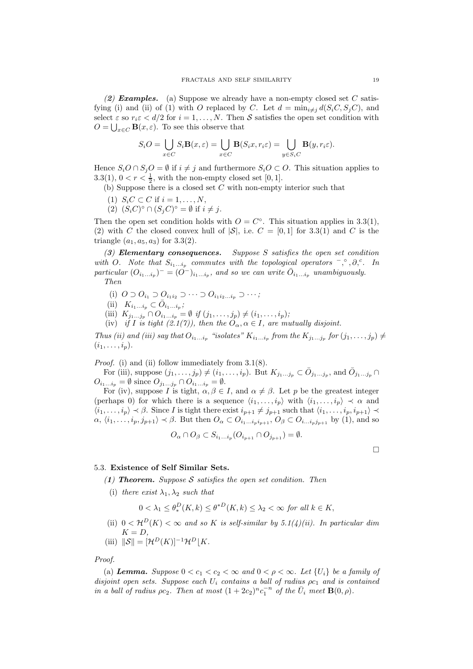(2) **Examples.** (a) Suppose we already have a non-empty closed set  $C$  satisfying (i) and (ii) of (1) with O replaced by C. Let  $d = \min_{i \neq j} d(S_i C, S_j C)$ , and select  $\varepsilon$  so  $r_i \varepsilon < d/2$  for  $i = 1, ..., N$ . Then S satisfies the open set condition with  $O = \bigcup_{x \in C} \mathbf{B}(x, \varepsilon)$ . To see this observe that

$$
S_i O = \bigcup_{x \in C} S_i \mathbf{B}(x, \varepsilon) = \bigcup_{x \in C} \mathbf{B}(S_i x, r_i \varepsilon) = \bigcup_{y \in S_i C} \mathbf{B}(y, r_i \varepsilon).
$$

Hence  $S_iO \cap S_jO = \emptyset$  if  $i \neq j$  and furthermore  $S_iO \subset O$ . This situation applies to 3.3(1),  $0 < r < \frac{1}{2}$ , with the non-empty closed set [0, 1].

(b) Suppose there is a closed set  $C$  with non-empty interior such that

- (1)  $S_i C \subset C$  if  $i = 1, ..., N$ ,
- (2)  $(S_i C)^\circ \cap (S_j C)^\circ = \emptyset$  if  $i \neq j$ .

Then the open set condition holds with  $O = C^{\circ}$ . This situation applies in 3.3(1), (2) with C the closed convex hull of  $|S|$ , i.e.  $C = [0, 1]$  for 3.3(1) and C is the triangle  $(a_1, a_5, a_3)$  for 3.3(2).

(3) Elementary consequences. Suppose S satisfies the open set condition with O. Note that  $S_{i_1...i_p}$  commutes with the topological operators  $\bar{\ }$ ,  $\partial$ ,  $\partial$ ,  $\bar{\ }$ . In particular  $(O_{i_1...i_p})^- = (O^-)_{i_1...i_p}$ , and so we can write  $\overline{O}_{i_1...i_p}$  unambiguously. Then

- (i)  $O \supset O_{i_1} \supset O_{i_1 i_2} \supset \cdots \supset O_{i_1 i_2 \ldots i_p} \supset \cdots;$
- (ii)  $K_{i_1...i_p} \subset \overline{O}_{i_1...i_p};$
- (iii)  $K_{j_1...j_p} \cap O_{i_1...i_p} = \emptyset$  if  $(j_1,...,j_p) \neq (i_1,...,i_p);$
- (iv) if I is tight (2.1(7)), then the  $O_{\alpha}, \alpha \in I$ , are mutually disjoint.

Thus (ii) and (iii) say that  $O_{i_1...i_p}$  "isolates"  $K_{i_1...i_p}$  from the  $K_{j_1...j_p}$  for  $(j_1,...,j_p) \neq$  $(i_1,\ldots,i_p).$ 

Proof. (i) and (ii) follow immediately from 3.1(8).

For (iii), suppose  $(j_1, \ldots, j_p) \neq (i_1, \ldots, i_p)$ . But  $K_{j_1 \ldots j_p} \subset \bar{O}_{j_1 \ldots j_p}$ , and  $\bar{O}_{j_1 \ldots j_p} \cap$  $O_{i_1...i_p} = \emptyset$  since  $O_{j_1...j_p} \cap O_{i_1...i_p} = \emptyset$ .

For (iv), suppose I is tight,  $\alpha, \beta \in I$ , and  $\alpha \neq \beta$ . Let p be the greatest integer (perhaps 0) for which there is a sequence  $\langle i_1, \ldots, i_p \rangle$  with  $\langle i_1, \ldots, i_p \rangle \prec \alpha$  and  $\langle i_1, \ldots, i_p \rangle \prec \beta$ . Since I is tight there exist  $i_{p+1} \neq j_{p+1}$  such that  $\langle i_1, \ldots, i_p, i_{p+1} \rangle \prec$  $\alpha, \langle i_1, \ldots, i_p, j_{p+1}\rangle \prec \beta$ . But then  $O_\alpha \subset O_{i_1...i_p i_{p+1}}, O_\beta \subset O_{i_1...i_p j_{p+1}}$  by (1), and so

$$
O_{\alpha} \cap O_{\beta} \subset S_{i_1...i_p} (O_{i_{p+1}} \cap O_{j_{p+1}}) = \emptyset.
$$

 $\Box$ 

### 5.3. Existence of Self Similar Sets.

(1) **Theorem.** Suppose S satisfies the open set condition. Then

(i) there exist  $\lambda_1, \lambda_2$  such that

$$
0 < \lambda_1 \le \theta_*^D(K, k) \le \theta^{*D}(K, k) \le \lambda_2 < \infty \text{ for all } k \in K,
$$

(ii)  $0 < H^D(K) < \infty$  and so K is self-similar by 5.1(4)(ii). In particular dim  $K = D$ ,

(iii) 
$$
\|\mathcal{S}\| = [\mathcal{H}^D(K)]^{-1} \mathcal{H}^D[K].
$$

Proof.

(a) **Lemma.** Suppose  $0 < c_1 < c_2 < \infty$  and  $0 < \rho < \infty$ . Let  $\{U_i\}$  be a family of disjoint open sets. Suppose each  $U_i$  contains a ball of radius  $\rho c_1$  and is contained in a ball of radius  $\rho c_2$ . Then at most  $(1+2c_2)^n c_1^{-n}$  of the  $\overline{U}_i$  meet  $\mathbf{B}(0,\rho)$ .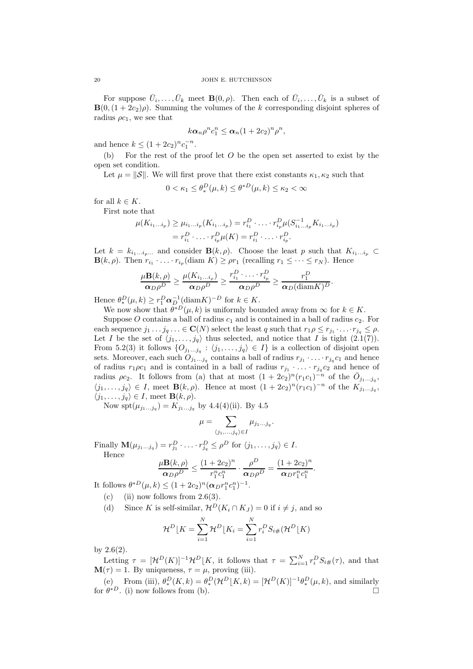For suppose  $\bar{U}_i, \ldots, \bar{U}_k$  meet  $\mathbf{B}(0, \rho)$ . Then each of  $\bar{U}_i, \ldots, \bar{U}_k$  is a subset of  $\mathbf{B}(0,(1+2c_2)\rho)$ . Summing the volumes of the k corresponding disjoint spheres of radius  $\rho c_1$ , we see that

$$
k\alpha_n\rho^n c_1^n \leq \alpha_n(1+2c_2)^n\rho^n,
$$

and hence  $k \leq (1 + 2c_2)^n c_1^{-n}$ .

(b) For the rest of the proof let  $O$  be the open set asserted to exist by the open set condition.

Let  $\mu = \|\mathcal{S}\|$ . We will first prove that there exist constants  $\kappa_1, \kappa_2$  such that

$$
0 < \kappa_1 \le \theta_*^D(\mu, k) \le \theta^{*D}(\mu, k) \le \kappa_2 < \infty
$$

for all  $k \in K$ .

First note that

$$
\mu(K_{i_1...i_p}) \ge \mu_{i_1...i_p}(K_{i_1...i_p}) = r_{i_1}^D \cdot \ldots \cdot r_{i_p}^D \mu(S_{i_1...i_p}^{-1} K_{i_1...i_p})
$$
  
=  $r_{i_1}^D \cdot \ldots \cdot r_{i_p}^D \mu(K) = r_{i_1}^D \cdot \ldots \cdot r_{i_p}^D$ .

Let  $k = k_{i_1...i_n}$  and consider  $\mathbf{B}(k,\rho)$ . Choose the least p such that  $K_{i_1...i_n}$  $\mathbf{B}(k,\rho)$ . Then  $r_{i_1} \cdot \ldots \cdot r_{i_p}(\text{diam } K) \ge \rho r_1$  (recalling  $r_1 \le \cdots \le r_N$ ). Hence

$$
\frac{\mu \mathbf{B}(k,\rho)}{\alpha_D \rho^D} \ge \frac{\mu(K_{i_1...i_\rho})}{\alpha_D \rho^D} \ge \frac{r_{i_1}^D \cdot \ldots \cdot r_{i_p}^D}{\alpha_D \rho^D} \ge \frac{r_1^D}{\alpha_D (\text{diam} K)^D}
$$

.

Hence  $\theta_*^D(\mu, k) \ge r_1^D \alpha_{D}^{-1} (\text{diam} K)^{-D}$  for  $k \in K$ .

We now show that  $\theta^{*D}(\mu, k)$  is uniformly bounded away from  $\infty$  for  $k \in K$ .

Suppose O contains a ball of radius  $c_1$  and is contained in a ball of radius  $c_2$ . For each sequence  $j_1 \tcdots j_q \tcdots \in \mathbf{C}(N)$  select the least q such that  $r_1 \rho \leq r_{j_1} \tcdots r_{j_q} \leq \rho$ . Let I be the set of  $\langle j_1, \ldots, j_q \rangle$  thus selected, and notice that I is tight  $(2.1(7))$ . From 5.2(3) it follows  $\{O_{j_1...j_q} : \langle j_1,...,j_q \rangle \in I\}$  is a collection of disjoint open sets. Moreover, each such  $O_{j_1...j_q}$  contains a ball of radius  $r_{j_1} \cdot ... \cdot r_{j_q} c_1$  and hence of radius  $r_1\rho c_1$  and is contained in a ball of radius  $r_{j_1} \cdot \ldots \cdot r_{j_q} c_2$  and hence of radius  $\rho c_2$ . It follows from (a) that at most  $(1 + 2c_2)^n (r_1c_1)^{-n}$  of the  $\overline{O}_{j_1...j_q}$ ,  $\langle j_1, \ldots, j_q \rangle \in I$ , meet **B**(k,  $\rho$ ). Hence at most  $(1 + 2c_2)^n (r_1 c_1)^{-n}$  of the  $K_{j_1 \ldots j_q}$ ,  $\langle j_1, \ldots, j_q \rangle \in I$ , meet **B** $(k, \rho)$ .

Now spt $(\mu_{j_1...j_q}) = K_{j_1...j_q}$  by 4.4(4)(ii). By 4.5

$$
\mu = \sum_{\langle j_1,...,j_q \rangle \in I} \mu_{j_1...j_q}.
$$

Finally  $\mathbf{M}(\mu_{j_1...j_q}) = r_{j_1}^D \cdot \ldots \cdot r_{j_q}^D \leq \rho^D$  for  $\langle j_1,\ldots,j_q \rangle \in I$ . Hence

$$
\frac{\mu \mathbf{B}(k,\rho)}{\alpha_D \rho^D} \le \frac{(1+2c_2)^n}{r_1^n c_1^n} \cdot \frac{\rho^D}{\alpha_D \rho^D} = \frac{(1+2c_2)^n}{\alpha_D r_1^n c_1^n}.
$$

It follows  $\theta^{*D}(\mu, k) \le (1 + 2c_2)^n (\alpha_D r_1^n c_1^n)^{-1}$ .

- (c) (ii) now follows from  $2.6(3)$ .
- (d) Since K is self-similar,  $\mathcal{H}^D(K_i \cap K_j) = 0$  if  $i \neq j$ , and so

$$
\mathcal{H}^D \lfloor K = \sum_{i=1}^N \mathcal{H}^D \lfloor K_i = \sum_{i=1}^N r_i^D S_{i\#}(\mathcal{H}^D \lfloor K)
$$

by 2.6(2).

Letting  $\tau = [\mathcal{H}^D(K)]^{-1} \mathcal{H}^D[K]$ , it follows that  $\tau = \sum_{i=1}^N r_i^D S_{i\#}(\tau)$ , and that  $\mathbf{M}(\tau) = 1$ . By uniqueness,  $\tau = \mu$ , proving (iii).

(e) From (iii),  $\theta_*^D(K, k) = \theta_*^D(\mathcal{H}^D[K, k) = [\mathcal{H}^D(K)]^{-1}\theta_*^D(\mu, k)$ , and similarly for  $\theta^{*D}$ . (i) now follows from (b).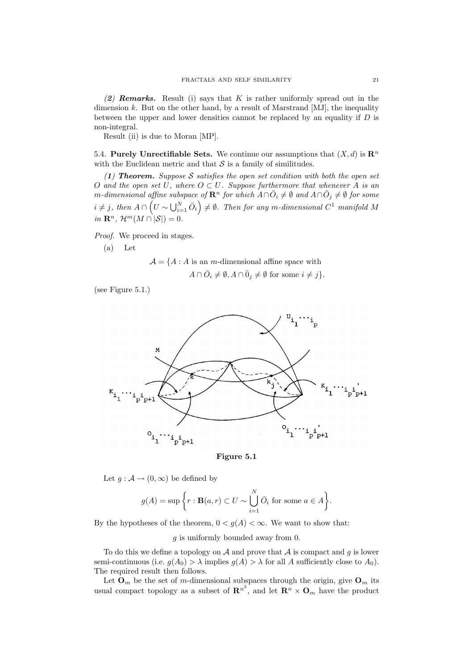(2) **Remarks.** Result (i) says that K is rather uniformly spread out in the dimension  $k$ . But on the other hand, by a result of Marstrand [MJ], the inequality between the upper and lower densities cannot be replaced by an equality if  $D$  is non-integral.

Result (ii) is due to Moran [MP].

5.4. Purely Unrectifiable Sets. We continue our assumptions that  $(X, d)$  is  $\mathbb{R}^n$ with the Euclidean metric and that  $S$  is a family of similitudes.

(1) Theorem. Suppose S satisfies the open set condition with both the open set O and the open set U, where  $O \subset U$ . Suppose furthermore that whenever A is an m-dimensional affine subspace of  $\mathbf{R}^n$  for which  $A\cap \bar{O}_i\neq \emptyset$  and  $A\cap \bar{O}_j\neq \emptyset$  for some  $i \neq j$ , then  $A \cap \left( U \sim \bigcup_{i=1}^N \bar{O}_i \right) \neq \emptyset$ . Then for any m-dimensional  $C^1$  manifold M in  $\mathbf{R}^n$ ,  $\mathcal{H}^m(M \cap |\mathcal{S}|) = 0$ .

Proof. We proceed in stages.

$$
(a) Let
$$

 $\mathcal{A} = \{A : A \text{ is an } m\text{-dimensional affine space with }\}$  $A \cap \overline{O}_i \neq \emptyset, A \cap \overline{O}_j \neq \emptyset$  for some  $i \neq j$ .

(see Figure 5.1.)





Let  $g : \mathcal{A} \to (0, \infty)$  be defined by

$$
g(A) = \sup \bigg\{ r : \mathbf{B}(a,r) \subset U \sim \bigcup_{i=1}^{N} \bar{O}_i \text{ for some } a \in A \bigg\}.
$$

By the hypotheses of the theorem,  $0 < g(A) < \infty$ . We want to show that:

g is uniformly bounded away from 0.

To do this we define a topology on  $A$  and prove that  $A$  is compact and  $g$  is lower semi-continuous (i.e.  $g(A_0) > \lambda$  implies  $g(A) > \lambda$  for all A sufficiently close to  $A_0$ ). The required result then follows.

Let  $\mathbf{O}_m$  be the set of m-dimensional subspaces through the origin, give  $\mathbf{O}_m$  its usual compact topology as a subset of  $\mathbb{R}^{n^2}$ , and let  $\mathbb{R}^n \times \mathbb{O}_m$  have the product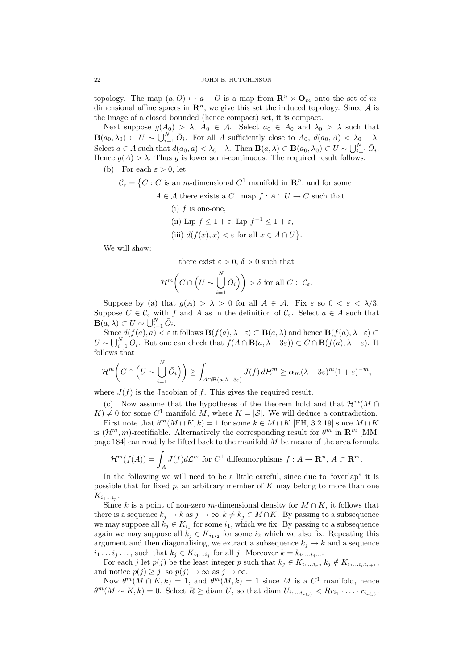topology. The map  $(a, O) \mapsto a + O$  is a map from  $\mathbb{R}^n \times \mathbb{O}_m$  onto the set of mdimensional affine spaces in  $\mathbb{R}^n$ , we give this set the induced topology. Since A is the image of a closed bounded (hence compact) set, it is compact.

Next suppose  $g(A_0) > \lambda$ ,  $A_0 \in \mathcal{A}$ . Select  $a_0 \in A_0$  and  $\lambda_0 > \lambda$  such that  $\mathbf{B}(a_0,\lambda_0) \subset U \sim \bigcup_{i=1}^N \bar{O}_i$ . For all A sufficiently close to  $A_0$ ,  $d(a_0, A) < \lambda_0 - \lambda$ . Select  $a \in A$  such that  $d(a_0, a) < \lambda_0 - \lambda$ . Then  $\mathbf{B}(a, \lambda) \subset \mathbf{B}(a_0, \lambda_0) \subset U \sim \bigcup_{i=1}^N \bar{O}_i$ . Hence  $q(A) > \lambda$ . Thus q is lower semi-continuous. The required result follows.

- (b) For each  $\varepsilon > 0$ , let
	- $\mathcal{C}_{\varepsilon} = \left\{ C : C \text{ is an } m\text{-dimensional } C^1 \text{ manifold in } \mathbb{R}^n \right\}$ , and for some
		- $A \in \mathcal{A}$  there exists a  $C^1$  map  $f : A \cap U \to C$  such that
			- (i)  $f$  is one-one. (ii) Lip  $f \leq 1 + \varepsilon$ , Lip  $f^{-1} \leq 1 + \varepsilon$ , (iii)  $d(f(x), x) < \varepsilon$  for all  $x \in A \cap U$ .

We will show:

there exist  $\varepsilon > 0$ ,  $\delta > 0$  such that

$$
\mathcal{H}^m\bigg(C\cap\left(U\sim\bigcup_{i=1}^N\bar{O}_i\right)\bigg)>\delta\text{ for all }C\in\mathcal{C}_{\varepsilon}.
$$

Suppose by (a) that  $g(A) > \lambda > 0$  for all  $A \in \mathcal{A}$ . Fix  $\varepsilon$  so  $0 < \varepsilon < \lambda/3$ . Suppose  $C \in \mathcal{C}_{\varepsilon}$  with f and A as in the definition of  $\mathcal{C}_{\varepsilon}$ . Select  $a \in A$  such that  $\mathbf{B}(a,\lambda) \subset U \sim \bigcup_{i=1}^N \bar{O}_i.$ 

Since  $d(f(a), a) < \varepsilon$  it follows  $\mathbf{B}(f(a), \lambda - \varepsilon) \subset \mathbf{B}(a, \lambda)$  and hence  $\mathbf{B}(f(a), \lambda - \varepsilon) \subset$  $U \sim \bigcup_{i=1}^N \bar{O}_i$ . But one can check that  $f(A \cap \mathbf{B}(a, \lambda - 3\varepsilon)) \subset C \cap \mathbf{B}(f(a), \lambda - \varepsilon)$ . It follows that

$$
\mathcal{H}^m\bigg(C\cap \bigg(U\sim \bigcup_{i=1}^N \bar{O}_i\bigg)\bigg) \geq \int_{A\cap \mathbf{B}(a,\lambda-3\varepsilon)} J(f)\,d\mathcal{H}^m \geq \alpha_m(\lambda-3\varepsilon)^m(1+\varepsilon)^{-m},
$$

where  $J(f)$  is the Jacobian of f. This gives the required result.

(c) Now assume that the hypotheses of the theorem hold and that  $\mathcal{H}^m(M \cap$  $K \neq 0$  for some  $C^1$  manifold M, where  $K = |\mathcal{S}|$ . We will deduce a contradiction. First note that  $\theta^m(M \cap K, k) = 1$  for some  $k \in M \cap K$  [FH, 3.2.19] since  $M \cap K$ 

is  $(\mathcal{H}^m, m)$ -rectifiable. Alternatively the corresponding result for  $\theta^m$  in  $\mathbb{R}^m$  [MM, page 184] can readily be lifted back to the manifold M be means of the area formula

$$
\mathcal{H}^m(f(A)) = \int_A J(f)d\mathcal{L}^m \text{ for } C^1 \text{ diffeomorphisms } f: A \to \mathbf{R}^n, A \subset \mathbf{R}^m.
$$

In the following we will need to be a little careful, since due to "overlap" it is possible that for fixed  $p$ , an arbitrary member of  $K$  may belong to more than one  $K_{i_1...i_p}.$ 

Since k is a point of non-zero m-dimensional density for  $M \cap K$ , it follows that there is a sequence  $k_j \to k$  as  $j \to \infty$ ,  $k \neq k_j \in M \cap K$ . By passing to a subsequence we may suppose all  $k_j \in K_{i_1}$  for some  $i_1$ , which we fix. By passing to a subsequence again we may suppose all  $k_j \in K_{i_1 i_2}$  for some  $i_2$  which we also fix. Repeating this argument and then diagonalising, we extract a subsequence  $k_i \rightarrow k$  and a sequence  $i_1 \dots i_j \dots$ , such that  $k_j \in K_{i_1 \dots i_j}$  for all j. Moreover  $k = k_{i_1 \dots i_j \dots j}$ 

For each j let  $p(j)$  be the least integer p such that  $k_j \in K_{i_1...i_p}$ ,  $k_j \notin K_{i_1...i_p i_{p+1}}$ , and notice  $p(j) \geq j$ , so  $p(j) \to \infty$  as  $j \to \infty$ .

Now  $\theta^m(M \cap K, k) = 1$ , and  $\theta^m(M, k) = 1$  since M is a  $C^1$  manifold, hence  $\theta^m(M \sim K, k) = 0.$  Select  $R \geq \text{diam } U$ , so that diam  $U_{i_1...i_{p(j)}} < R r_{i_1} \cdot ... \cdot r_{i_{p(j)}}$ .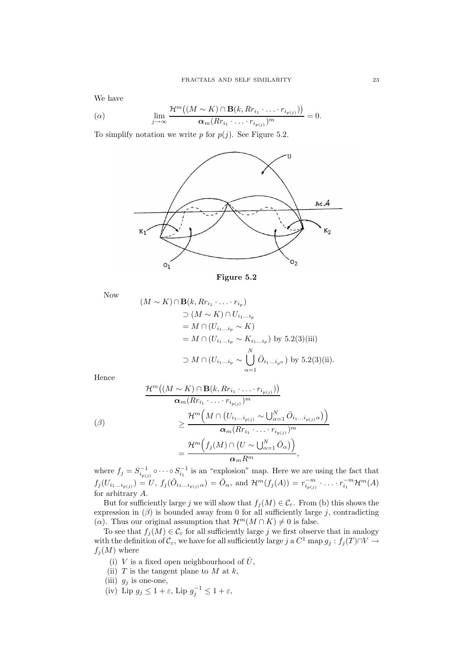We have

$$
\lim_{j \to \infty} \frac{\mathcal{H}^m((M \sim K) \cap \mathbf{B}(k, R r_{i_1} \cdot \ldots \cdot r_{i_{p(j)}}))}{\alpha_m (R r_{i_1} \cdot \ldots \cdot r_{i_{p(j)}})^m} = 0.
$$

To simplify notation we write  $p$  for  $p(j)$ . See Figure 5.2.





Now

$$
(M \sim K) \cap \mathbf{B}(k, Rr_{i_1} \cdot \ldots \cdot r_{i_p})
$$
  
\n
$$
\supset (M \sim K) \cap U_{i_1...i_p}
$$
  
\n
$$
= M \cap (U_{i_1...i_p} \sim K)
$$
  
\n
$$
= M \cap (U_{i_1...i_p} \sim K_{i_1...i_p}) \text{ by } 5.2(3)(iii)
$$
  
\n
$$
\supset M \cap (U_{i_1...i_p} \sim \bigcup_{\alpha=1}^N \bar{O}_{i_1...i_{p^\alpha}}) \text{ by } 5.2(3)(ii).
$$

Hence

$$
\frac{\mathcal{H}^m((M \sim K) \cap \mathbf{B}(k, R r_{i_1} \cdot \ldots \cdot r_{i_{p(j)}}))}{\alpha_m (R r_{i_1} \cdot \ldots \cdot r_{i_{p(j)}})^m}
$$
\n
$$
\geq \frac{\mathcal{H}^m\left(M \cap (U_{i_1 \ldots i_{p(j)}} \sim \bigcup_{\alpha=1}^N \bar{O}_{i_1 \ldots i_{p(j)}\alpha})\right)}{\alpha_m (R r_{i_1} \cdot \ldots \cdot r_{i_{p(j)}})^m}
$$
\n
$$
= \frac{\mathcal{H}^m\left(f_j(M) \cap (U \sim \bigcup_{\alpha=1}^N \bar{O}_{\alpha})\right)}{\alpha_m R^m},
$$

where  $f_j = S_{i_{p(j)}}^{-1} \circ \cdots \circ S_{i_1}^{-1}$  is an "explosion" map. Here we are using the fact that  $f_j(U_{i_1...i_{p(j)}}) = U, f_j(\bar{O}_{i_1...i_{p(j)}\alpha}) = \bar{O}_{\alpha}, \text{ and } \mathcal{H}^m(f_j(A)) = r_{i_{p(j)}}^{-m} \cdot ... \cdot r_{i_1}^{-m} \mathcal{H}^m(A)$ for arbitrary A.

But for sufficiently large j we will show that  $f_j(M) \in \mathcal{C}_{\varepsilon}$ . From (b) this shows the expression in  $(\beta)$  is bounded away from 0 for all sufficiently large j, contradicting ( $\alpha$ ). Thus our original assumption that  $\mathcal{H}^m(M \cap K) \neq 0$  is false.

To see that  $f_j(M) \in \mathcal{C}_{\varepsilon}$  for all sufficiently large j we first observe that in analogy with the definition of  $\mathcal{C}_{\varepsilon}$ , we have for all sufficiently large j a  $C^1$  map  $g_j : f_j(T) \cap V \to$  $f_i(M)$  where

(i) V is a fixed open neighbourhood of  $\overline{U}$ ,

- (ii)  $T$  is the tangent plane to  $M$  at  $k$ ,
- (iii)  $g_j$  is one-one,
- (iv) Lip  $g_j \leq 1 + \varepsilon$ , Lip  $g_j^{-1} \leq 1 + \varepsilon$ ,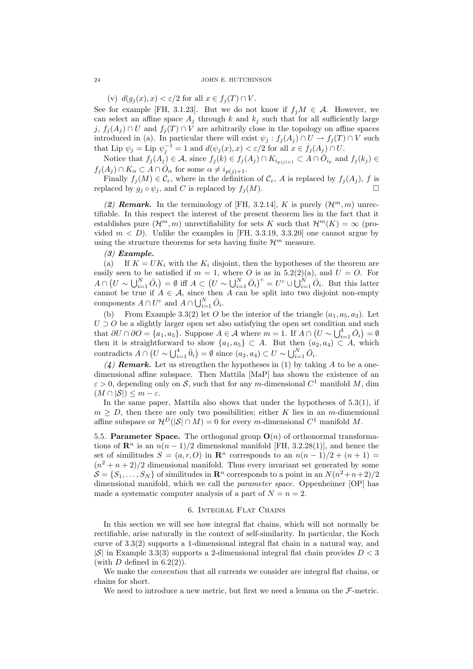(v)  $d(g_j(x), x) < \varepsilon/2$  for all  $x \in f_j(T) \cap V$ .

See for example [FH, 3.1.23]. But we do not know if  $f_iM \in \mathcal{A}$ . However, we can select an affine space  $A_i$  through k and  $k_i$  such that for all sufficiently large j,  $f_i(A_i) \cap U$  and  $f_i(T) \cap V$  are arbitrarily close in the topology on affine spaces introduced in (a). In particular there will exist  $\psi_j : f_j(A_j) \cap U \to f_j(T) \cap V$  such that Lip  $\psi_j = \text{Lip } \psi_j^{-1} = 1$  and  $d(\psi_j(x), x) < \varepsilon/2$  for all  $x \in f_j(A_j) \cap U$ .

Notice that  $f_j(A_j) \in \mathcal{A}$ , since  $f_j(k) \in f_j(A_j) \cap K_{i_{p(j)+1}} \subset A \cap \overline{O}_{i_p}$  and  $f_j(k_j) \in$  $f_j(A_j) \cap K_\alpha \subset A \cap \overline{O}_\alpha$  for some  $\alpha \neq i_{p(j)+1}$ .

Finally  $f_i(M) \in \mathcal{C}_{\varepsilon}$ , where in the definition of  $\mathcal{C}_{\varepsilon}$ , A is replaced by  $f_i(A_i)$ , f is replaced by  $g_i \circ \psi_i$ , and C is replaced by  $f_i(M)$ .

(2) **Remark.** In the terminology of [FH, 3.2.14], K is purely  $(\mathcal{H}^m, m)$  unrectifiable. In this respect the interest of the present theorem lies in the fact that it establishes pure  $(\mathcal{H}^m, m)$  unrectifiability for sets K such that  $\mathcal{H}^m(K) = \infty$  (provided  $m < D$ ). Unlike the examples in [FH, 3.3.19, 3.3.20] one cannot argue by using the structure theorems for sets having finite  $\mathcal{H}^m$  measure.

#### $(3)$  Example.

(a) If  $K = UK_i$  with the  $K_i$  disjoint, then the hypotheses of the theorem are easily seen to be satisfied if  $m = 1$ , where O is as in 5.2(2)(a), and  $U = O$ . For  $A \cap (U \sim \bigcup_{i=1}^N \bar{O}_i) = \emptyset$  iff  $A \subset (U \sim \bigcup_{i=1}^N \bar{O}_i)^c = U^c \cup \bigcup_{i=1}^N \bar{O}_i$ . But this latter cannot be true if  $A \in \mathcal{A}$ , since then A can be split into two disjoint non-empty components  $A \cap U^c$  and  $A \cap \bigcup_{i=1}^N \bar{O}_i$ .

(b) From Example 3.3(2) let O be the interior of the triangle  $(a_1, a_5, a_3)$ . Let  $U \supset O$  be a slightly larger open set also satisfying the open set condition and such that  $\partial U \cap \partial O = \{a_1, a_5\}$ . Suppose  $A \in \mathcal{A}$  where  $m = 1$ . If  $A \cap (U \sim \bigcup_{i=1}^4 \bar{O}_i) = \emptyset$ then it is straightforward to show  $\{a_1, a_5\} \subset A$ . But then  $(a_2, a_4) \subset A$ , which contradicts  $A \cap (U \sim \bigcup_{i=1}^4 \bar{0}_i) = \emptyset$  since  $(a_2, a_4) \subset U \sim \bigcup_{i=1}^N \bar{O}_i$ .

(4) **Remark.** Let us strengthen the hypotheses in (1) by taking A to be a onedimensional affine subspace. Then Mattila [MaP] has shown the existence of an  $\varepsilon > 0$ , depending only on S, such that for any m-dimensional  $C^1$  manifold M, dim  $(M \cap |\mathcal{S}|) \leq m - \varepsilon.$ 

In the same paper, Mattila also shows that under the hypotheses of  $5.3(1)$ , if  $m > D$ , then there are only two possibilities; either K lies in an m-dimensional affine subspace or  $\mathcal{H}^D(|\mathcal{S}| \cap M) = 0$  for every m-dimensional  $C^1$  manifold M.

5.5. Parameter Space. The orthogonal group  $O(n)$  of orthonormal transformations of  $\mathbb{R}^n$  is an  $n(n-1)/2$  dimensional manifold [FH, 3.2.28(1)], and hence the set of similitudes  $S = (a, r, O)$  in  $\mathbb{R}^n$  corresponds to an  $n(n - 1)/2 + (n + 1) =$  $(n^2 + n + 2)/2$  dimensional manifold. Thus every invariant set generated by some  $S = \{S_1, \ldots, S_N\}$  of similitudes in  $\mathbb{R}^n$  corresponds to a point in an  $N(n^2 + n + 2)/2$ dimensional manifold, which we call the *parameter space*. Oppenheimer [OP] has made a systematic computer analysis of a part of  $N = n = 2$ .

### 6. Integral Flat Chains

In this section we will see how integral flat chains, which will not normally be rectifiable, arise naturally in the context of self-similarity. In particular, the Koch curve of 3.3(2) supports a 1-dimensional integral flat chain in a natural way, and  $|S|$  in Example 3.3(3) supports a 2-dimensional integral flat chain provides  $D < 3$ (with  $D$  defined in 6.2(2)).

We make the *convention* that all currents we consider are integral flat chains, or chains for short.

We need to introduce a new metric, but first we need a lemma on the  $\mathcal{F}\text{-}\text{metric}$ .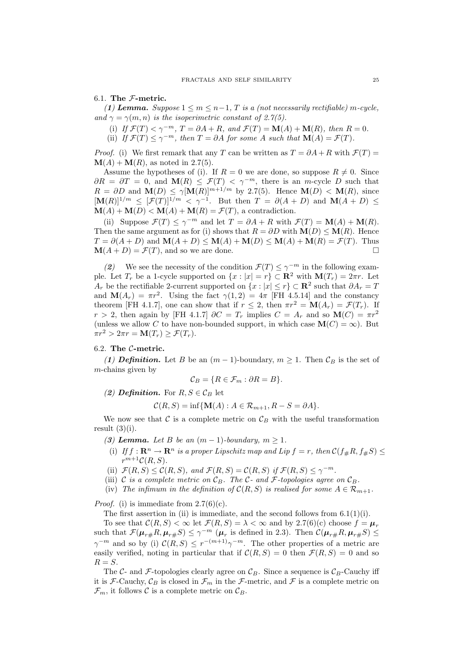### 6.1. The  $F$ -metric.

(1) Lemma. Suppose  $1 \le m \le n-1$ , T is a (not necessarily rectifiable) m-cycle, and  $\gamma = \gamma(m, n)$  is the isoperimetric constant of 2.7(5).

(i) If  $\mathcal{F}(T) < \gamma^{-m}$ ,  $T = \partial A + R$ , and  $\mathcal{F}(T) = \mathbf{M}(A) + \mathbf{M}(R)$ , then  $R = 0$ .

(ii) If  $\mathcal{F}(T) \leq \gamma^{-m}$ , then  $T = \partial A$  for some A such that  $\mathbf{M}(A) = \mathcal{F}(T)$ .

*Proof.* (i) We first remark that any T can be written as  $T = \partial A + R$  with  $\mathcal{F}(T) =$  $\mathbf{M}(A) + \mathbf{M}(R)$ , as noted in 2.7(5).

Assume the hypotheses of (i). If  $R = 0$  we are done, so suppose  $R \neq 0$ . Since  $\partial R = \partial T = 0$ , and  $\mathbf{M}(R) \leq \mathcal{F}(T) < \gamma^{-m}$ , there is an *m*-cycle D such that  $R = \partial D$  and  $\mathbf{M}(D) \leq \gamma [\mathbf{M}(R)]^{m+1/m}$  by 2.7(5). Hence  $\mathbf{M}(D) < \mathbf{M}(R)$ , since  $[\mathbf{M}(R)]^{1/m} \leq [\mathcal{F}(T)]^{1/m} < \gamma^{-1}$ . But then  $T = \partial(A+D)$  and  $\mathbf{M}(A+D) \leq$  $\mathbf{M}(A) + \mathbf{M}(D) < \mathbf{M}(A) + \mathbf{M}(R) = \mathcal{F}(T)$ , a contradiction.

(ii) Suppose  $\mathcal{F}(T) \leq \gamma^{-m}$  and let  $T = \partial A + R$  with  $\mathcal{F}(T) = \mathbf{M}(A) + \mathbf{M}(R)$ . Then the same argument as for (i) shows that  $R = \partial D$  with  $\mathbf{M}(D) \leq \mathbf{M}(R)$ . Hence  $T = \partial(A + D)$  and  $\mathbf{M}(A + D) \leq \mathbf{M}(A) + \mathbf{M}(D) \leq \mathbf{M}(A) + \mathbf{M}(R) = \mathcal{F}(T)$ . Thus  $\mathbf{M}(A + D) = \mathcal{F}(T)$  and so we are done  $\mathbf{M}(A+D) = \mathcal{F}(T)$ , and so we are done.

(2) We see the necessity of the condition  $\mathcal{F}(T) \leq \gamma^{-m}$  in the following example. Let  $T_r$  be a 1-cycle supported on  $\{x : |x| = r\} \subset \mathbb{R}^2$  with  $\mathbf{M}(T_r) = 2\pi r$ . Let  $A_r$  be the rectifiable 2-current supported on  $\{x : |x| \le r\} \subset \mathbb{R}^2$  such that  $\partial A_r = T$ and  $\mathbf{M}(A_r) = \pi r^2$ . Using the fact  $\gamma(1,2) = 4\pi$  [FH 4.5.14] and the constancy theorem [FH 4.1.7], one can show that if  $r \leq 2$ , then  $\pi r^2 = M(A_r) = \mathcal{F}(T_r)$ . If  $r > 2$ , then again by [FH 4.1.7]  $\partial C = T_r$  implies  $C = A_r$  and so  $\mathbf{M}(C) = \pi r^2$ (unless we allow C to have non-bounded support, in which case  $\mathbf{M}(C) = \infty$ ). But  $\pi r^2 > 2\pi r = \mathbf{M}(T_r) \geq \mathcal{F}(T_r).$ 

# 6.2. The C-metric.

(1) Definition. Let B be an  $(m-1)$ -boundary,  $m \ge 1$ . Then  $\mathcal{C}_B$  is the set of  $m$ -chains given by

$$
\mathcal{C}_B = \{ R \in \mathcal{F}_m : \partial R = B \}.
$$

(2) Definition. For  $R, S \in \mathcal{C}_B$  let

$$
\mathcal{C}(R, S) = \inf \{ \mathbf{M}(A) : A \in \mathcal{R}_{m+1}, R - S = \partial A \}.
$$

We now see that C is a complete metric on  $\mathcal{C}_B$  with the useful transformation result  $(3)(i)$ .

- (3) Lemma. Let B be an  $(m-1)$ -boundary,  $m \geq 1$ .
- (i) If  $f: \mathbf{R}^n \to \mathbf{R}^n$  is a proper Lipschitz map and Lip  $f = r$ , then  $\mathcal{C}(f_{\#}R, f_{\#}S) \leq$  $r^{m+1}\mathcal{C}(R,S).$
- (ii)  $\mathcal{F}(R, S) \leq \mathcal{C}(R, S)$ , and  $\mathcal{F}(R, S) = \mathcal{C}(R, S)$  if  $\mathcal{F}(R, S) \leq \gamma^{-m}$ .
- (iii) C is a complete metric on  $\mathcal{C}_B$ . The C- and F-topologies agree on  $\mathcal{C}_B$ .
- (iv) The infimum in the definition of  $\mathcal{C}(R, S)$  is realised for some  $A \in \mathcal{R}_{m+1}$ .

*Proof.* (i) is immediate from  $2.7(6)(c)$ .

The first assertion in (ii) is immediate, and the second follows from  $6.1(1)(i)$ .

To see that  $\mathcal{C}(R, S) < \infty$  let  $\mathcal{F}(R, S) = \lambda < \infty$  and by 2.7(6)(c) choose  $f = \mu_r$ such that  $\mathcal{F}(\mu_{r\#}R, \mu_{r\#}S) \leq \gamma^{-m}$  ( $\mu_r$  is defined in 2.3). Then  $\mathcal{C}(\mu_{r\#}R, \mu_{r\#}S) \leq$  $\gamma^{-m}$  and so by (i)  $\mathcal{C}(R, S) \leq r^{-(m+1)}\gamma^{-m}$ . The other properties of a metric are easily verified, noting in particular that if  $C(R, S) = 0$  then  $\mathcal{F}(R, S) = 0$  and so  $R = S$ .

The C- and F-topologies clearly agree on  $\mathcal{C}_B$ . Since a sequence is  $\mathcal{C}_B$ -Cauchy iff it is F-Cauchy,  $\mathcal{C}_B$  is closed in  $\mathcal{F}_m$  in the F-metric, and F is a complete metric on  $\mathcal{F}_m$ , it follows C is a complete metric on  $\mathcal{C}_B$ .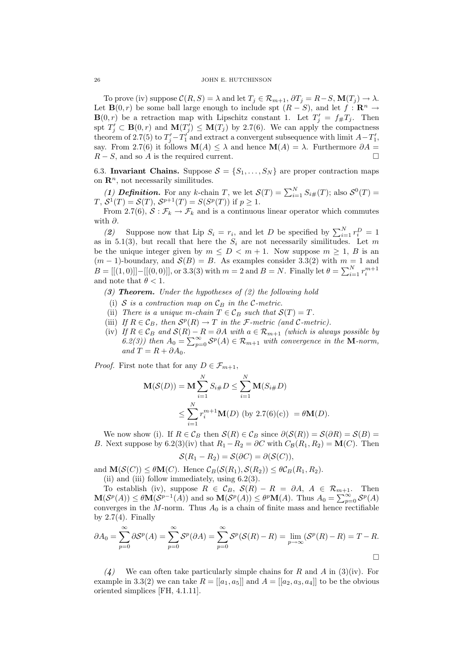To prove (iv) suppose  $\mathcal{C}(R, S) = \lambda$  and let  $T_j \in \mathcal{R}_{m+1}, \partial T_j = R - S, \mathbf{M}(T_j) \to \lambda$ . Let **B**(0, *r*) be some ball large enough to include spt  $(R - S)$ , and let  $f : \mathbb{R}^n \to$  $\mathbf{B}(0,r)$  be a retraction map with Lipschitz constant 1. Let  $T'_j = f_{\#}T_j$ . Then spt  $T'_j \subset \mathbf{B}(0,r)$  and  $\mathbf{M}(T'_j) \leq \mathbf{M}(T_j)$  by 2.7(6). We can apply the compactness theorem of 2.7(5) to  $T'_j - T'_1$  and extract a convergent subsequence with limit  $A - T'_1$ , say. From 2.7(6) it follows  $\mathbf{M}(A) \leq \lambda$  and hence  $\mathbf{M}(A) = \lambda$ . Furthermore  $\partial A = B - S$ , and so A is the required current.  $R - S$ , and so A is the required current.

6.3. Invariant Chains. Suppose  $S = \{S_1, \ldots, S_N\}$  are proper contraction maps on  $\mathbb{R}^n$ , not necessarily similitudes.

(1) **Definition.** For any k-chain T, we let  $\mathcal{S}(T) = \sum_{i=1}^{N} S_{i\#}(T)$ ; also  $\mathcal{S}^{0}(T) =$  $T, S^1(T) = S(T), S^{p+1}(T) = S(S^p(T))$  if  $p \ge 1$ .

From 2.7(6),  $S : \mathcal{F}_k \to \mathcal{F}_k$  and is a continuous linear operator which commutes with ∂.

(2) Suppose now that Lip  $S_i = r_i$ , and let D be specified by  $\sum_{i=1}^{N} r_i^D = 1$ as in 5.1(3), but recall that here the  $S_i$  are not necessarily similitudes. Let m be the unique integer given by  $m \leq D \leq m+1$ . Now suppose  $m \geq 1$ , B is an  $(m-1)$ -boundary, and  $\mathcal{S}(B) = B$ . As examples consider 3.3(2) with  $m = 1$  and  $B = [[(1,0)]] - [[(0,0)]]$ , or 3.3(3) with  $m = 2$  and  $B = N$ . Finally let  $\theta = \sum_{i=1}^{N} r_i^{m+1}$ and note that  $\theta < 1$ .

(3) **Theorem.** Under the hypotheses of  $(2)$  the following hold

- (i) S is a contraction map on  $\mathcal{C}_B$  in the C-metric.
- (ii) There is a unique m-chain  $T \in \mathcal{C}_B$  such that  $\mathcal{S}(T) = T$ .
- (iii) If  $R \in \mathcal{C}_B$ , then  $\mathcal{S}^p(R) \to T$  in the *F*-metric (and *C*-metric).
- (iv) If  $R \in \mathcal{C}_B$  and  $\mathcal{S}(R) R = \partial A$  with  $a \in \mathcal{R}_{m+1}$  (which is always possible by 6.2(3)) then  $A_0 = \sum_{p=0}^{\infty} S^p(A) \in \mathcal{R}_{m+1}$  with convergence in the **M**-norm, and  $T = R + \partial A_0$ .

*Proof.* First note that for any  $D \in \mathcal{F}_{m+1},$ 

$$
\mathbf{M}(\mathcal{S}(D)) = \mathbf{M} \sum_{i=1}^{N} S_{i\#} D \le \sum_{i=1}^{N} \mathbf{M}(S_{i\#} D)
$$
  
 
$$
\le \sum_{i=1}^{N} r_{i}^{m+1} \mathbf{M}(D) \text{ (by 2.7(6)(c)) } = \theta \mathbf{M}(D).
$$

We now show (i). If  $R \in \mathcal{C}_B$  then  $\mathcal{S}(R) \in \mathcal{C}_B$  since  $\partial(\mathcal{S}(R)) = \mathcal{S}(\partial R) = \mathcal{S}(B) =$ B. Next suppose by 6.2(3)(iv) that  $R_1 - R_2 = \partial C$  with  $C_{\mathcal{B}}(R_1, R_2) = M(C)$ . Then

$$
\mathcal{S}(R_1 - R_2) = \mathcal{S}(\partial C) = \partial(\mathcal{S}(C)),
$$

and  $\mathbf{M}(\mathcal{S}(C)) \leq \theta \mathbf{M}(C)$ . Hence  $\mathcal{C}_B(\mathcal{S}(R_1), \mathcal{S}(R_2)) \leq \theta \mathcal{C}_B(R_1, R_2)$ .

(ii) and (iii) follow immediately, using  $6.2(3)$ .

To establish (iv), suppose  $R \in \mathcal{C}_B$ ,  $\mathcal{S}(R) - R = \partial A$ ,  $A \in \mathcal{R}_{m+1}$ . Then  $\mathbf{M}(\mathcal{S}^p(A)) \leq \theta \mathbf{M}(\mathcal{S}^{p-1}(A))$  and so  $\mathbf{M}(\mathcal{S}^p(A)) \leq \theta^p \mathbf{M}(A)$ . Thus  $A_0 = \sum_{p=0}^{\infty} \mathcal{S}^p(A)$ converges in the  $M$ -norm. Thus  $A_0$  is a chain of finite mass and hence rectifiable by  $2.7(4)$ . Finally

$$
\partial A_0 = \sum_{p=0}^{\infty} \partial S^p(A) = \sum_{p=0}^{\infty} S^p(\partial A) = \sum_{p=0}^{\infty} S^p(S(R) - R) = \lim_{p \to \infty} (S^p(R) - R) = T - R.
$$

(4) We can often take particularly simple chains for R and A in (3)(iv). For example in 3.3(2) we can take  $R = [[a_1, a_5]]$  and  $A = [[a_2, a_3, a_4]]$  to be the obvious oriented simplices [FH, 4.1.11].